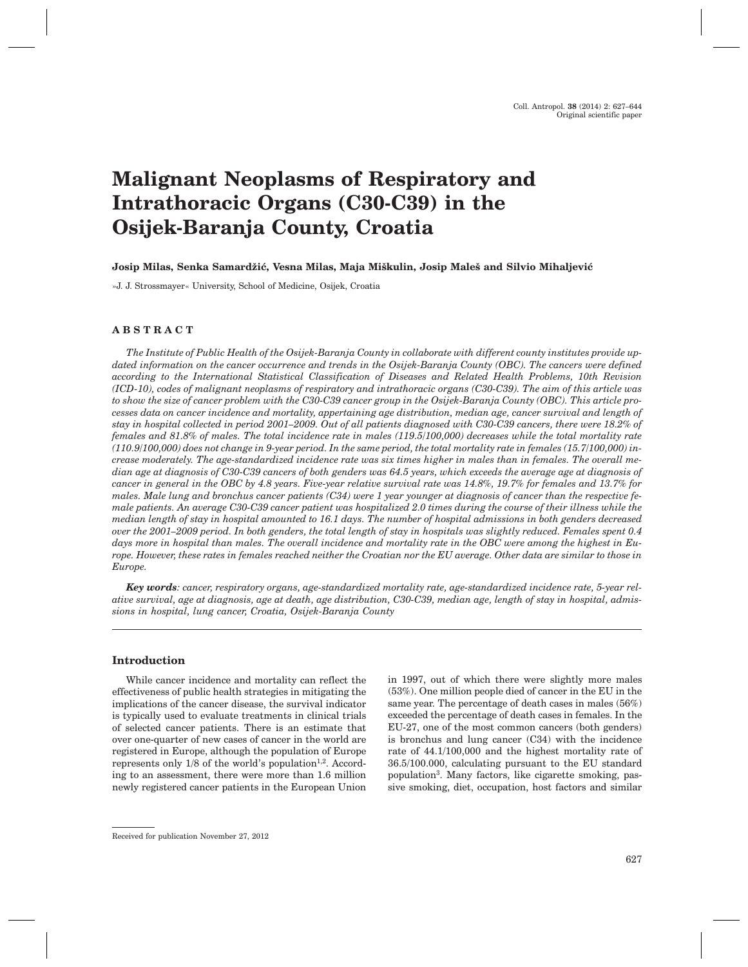# **Malignant Neoplasms of Respiratory and Intrathoracic Organs (C30-C39) in the Osijek-Baranja County, Croatia**

#### Josip Milas, Senka Samardžić, Vesna Milas, Maja Miškulin, Josip Maleš and Silvio Mihaljević

»J. J. Strossmayer« University, School of Medicine, Osijek, Croatia

## **ABSTRACT**

*The Institute of Public Health of the Osijek-Baranja County in collaborate with different county institutes provide updated information on the cancer occurrence and trends in the Osijek-Baranja County (OBC). The cancers were defined according to the International Statistical Classification of Diseases and Related Health Problems, 10th Revision (ICD-10), codes of malignant neoplasms of respiratory and intrathoracic organs (C30-C39). The aim of this article was to show the size of cancer problem with the C30-C39 cancer group in the Osijek-Baranja County (OBC). This article processes data on cancer incidence and mortality, appertaining age distribution, median age, cancer survival and length of stay in hospital collected in period 2001–2009. Out of all patients diagnosed with C30-C39 cancers, there were 18.2% of females and 81.8% of males. The total incidence rate in males (119.5/100,000) decreases while the total mortality rate (110.9/100,000) does not change in 9-year period. In the same period, the total mortality rate in females (15.7/100,000) increase moderately. The age-standardized incidence rate was six times higher in males than in females. The overall median age at diagnosis of C30-C39 cancers of both genders was 64.5 years, which exceeds the average age at diagnosis of cancer in general in the OBC by 4.8 years. Five-year relative survival rate was 14.8%, 19.7% for females and 13.7% for males. Male lung and bronchus cancer patients (C34) were 1 year younger at diagnosis of cancer than the respective female patients. An average C30-C39 cancer patient was hospitalized 2.0 times during the course of their illness while the median length of stay in hospital amounted to 16.1 days. The number of hospital admissions in both genders decreased over the 2001–2009 period. In both genders, the total length of stay in hospitals was slightly reduced. Females spent 0.4* days more in hospital than males. The overall incidence and mortality rate in the OBC were among the highest in Eu*rope. However, these rates in females reached neither the Croatian nor the EU average. Other data are similar to those in Europe.*

*Key words: cancer, respiratory organs, age-standardized mortality rate, age-standardized incidence rate, 5-year relative survival, age at diagnosis, age at death, age distribution, C30-C39, median age, length of stay in hospital, admissions in hospital, lung cancer, Croatia, Osijek-Baranja County*

#### **Introduction**

While cancer incidence and mortality can reflect the effectiveness of public health strategies in mitigating the implications of the cancer disease, the survival indicator is typically used to evaluate treatments in clinical trials of selected cancer patients. There is an estimate that over one-quarter of new cases of cancer in the world are registered in Europe, although the population of Europe represents only  $1/8$  of the world's population<sup>1,2</sup>. According to an assessment, there were more than 1.6 million newly registered cancer patients in the European Union in 1997, out of which there were slightly more males (53%). One million people died of cancer in the EU in the same year. The percentage of death cases in males (56%) exceeded the percentage of death cases in females. In the EU-27, one of the most common cancers (both genders) is bronchus and lung cancer (C34) with the incidence rate of 44.1/100,000 and the highest mortality rate of 36.5/100.000, calculating pursuant to the EU standard population3. Many factors, like cigarette smoking, passive smoking, diet, occupation, host factors and similar

Received for publication November 27, 2012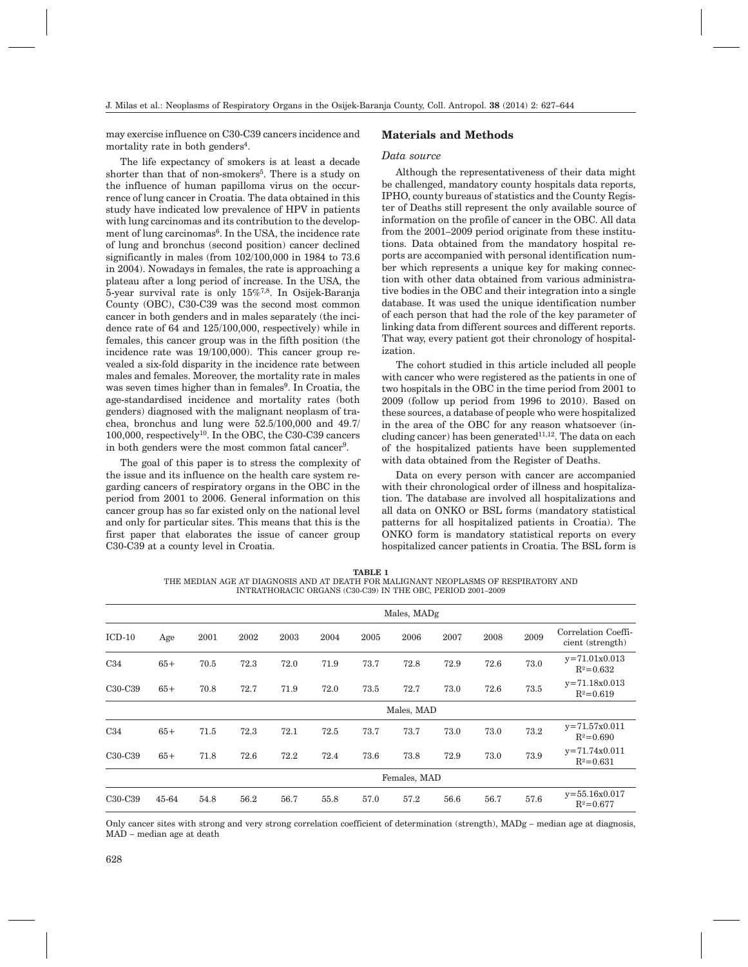may exercise influence on C30-C39 cancers incidence and mortality rate in both genders<sup>4</sup>.

The life expectancy of smokers is at least a decade shorter than that of non-smokers<sup>5</sup>. There is a study on the influence of human papilloma virus on the occurrence of lung cancer in Croatia. The data obtained in this study have indicated low prevalence of HPV in patients with lung carcinomas and its contribution to the development of lung carcinomas<sup>6</sup>. In the USA, the incidence rate of lung and bronchus (second position) cancer declined significantly in males (from 102/100,000 in 1984 to 73.6 in 2004). Nowadays in females, the rate is approaching a plateau after a long period of increase. In the USA, the 5-year survival rate is only 15%7,8. In Osijek-Baranja County (OBC), C30-C39 was the second most common cancer in both genders and in males separately (the incidence rate of 64 and 125/100,000, respectively) while in females, this cancer group was in the fifth position (the incidence rate was 19/100,000). This cancer group revealed a six-fold disparity in the incidence rate between males and females. Moreover, the mortality rate in males was seven times higher than in females<sup>9</sup>. In Croatia, the age-standardised incidence and mortality rates (both genders) diagnosed with the malignant neoplasm of trachea, bronchus and lung were 52.5/100,000 and 49.7/ 100,000, respectively10. In the OBC, the C30-C39 cancers in both genders were the most common fatal cancer<sup>9</sup>.

The goal of this paper is to stress the complexity of the issue and its influence on the health care system regarding cancers of respiratory organs in the OBC in the period from 2001 to 2006. General information on this cancer group has so far existed only on the national level and only for particular sites. This means that this is the first paper that elaborates the issue of cancer group C30-C39 at a county level in Croatia.

#### **Materials and Methods**

#### *Data source*

Although the representativeness of their data might be challenged, mandatory county hospitals data reports, IPHO, county bureaus of statistics and the County Register of Deaths still represent the only available source of information on the profile of cancer in the OBC. All data from the 2001–2009 period originate from these institutions. Data obtained from the mandatory hospital reports are accompanied with personal identification number which represents a unique key for making connection with other data obtained from various administrative bodies in the OBC and their integration into a single database. It was used the unique identification number of each person that had the role of the key parameter of linking data from different sources and different reports. That way, every patient got their chronology of hospitalization.

The cohort studied in this article included all people with cancer who were registered as the patients in one of two hospitals in the OBC in the time period from 2001 to 2009 (follow up period from 1996 to 2010). Based on these sources, a database of people who were hospitalized in the area of the OBC for any reason whatsoever (including cancer) has been generated $11,12$ . The data on each of the hospitalized patients have been supplemented with data obtained from the Register of Deaths.

Data on every person with cancer are accompanied with their chronological order of illness and hospitalization. The database are involved all hospitalizations and all data on ONKO or BSL forms (mandatory statistical patterns for all hospitalized patients in Croatia). The ONKO form is mandatory statistical reports on every hospitalized cancer patients in Croatia. The BSL form is

| TABLE 1                                                                             |  |
|-------------------------------------------------------------------------------------|--|
| THE MEDIAN AGE AT DIAGNOSIS AND AT DEATH FOR MALIGNANT NEOPLASMS OF RESPIRATORY AND |  |
| INTRATHORACIC ORGANS (C30-C39) IN THE OBC. PERIOD 2001-2009                         |  |

|                                  | Males, MADg |      |      |      |            |      |              |      |      |      |                                         |  |  |
|----------------------------------|-------------|------|------|------|------------|------|--------------|------|------|------|-----------------------------------------|--|--|
| $ICD-10$                         | Age         | 2001 | 2002 | 2003 | 2004       | 2005 | 2006         | 2007 | 2008 | 2009 | Correlation Coeffi-<br>cient (strength) |  |  |
| C34                              | $65+$       | 70.5 | 72.3 | 72.0 | 71.9       | 73.7 | 72.8         | 72.9 | 72.6 | 73.0 | $y=71.01x0.013$<br>$R^2 = 0.632$        |  |  |
| C30-C39                          | $65+$       | 70.8 | 72.7 | 71.9 | 72.0       | 73.5 | 72.7         | 73.0 | 72.6 | 73.5 | $y=71.18x0.013$<br>$R^2 = 0.619$        |  |  |
|                                  |             |      |      |      | Males, MAD |      |              |      |      |      |                                         |  |  |
| C34                              | $65+$       | 71.5 | 72.3 | 72.1 | 72.5       | 73.7 | 73.7         | 73.0 | 73.0 | 73.2 | $y = 71.57x0.011$<br>$R^2 = 0.690$      |  |  |
| C30-C39                          | $65+$       | 71.8 | 72.6 | 72.2 | 72.4       | 73.6 | 73.8         | 72.9 | 73.0 | 73.9 | $y = 71.74x0.011$<br>$R^2 = 0.631$      |  |  |
|                                  |             |      |      |      |            |      | Females, MAD |      |      |      |                                         |  |  |
| C <sub>30</sub> -C <sub>39</sub> | 45-64       | 54.8 | 56.2 | 56.7 | 55.8       | 57.0 | 57.2         | 56.6 | 56.7 | 57.6 | $y = 55.16x0.017$<br>$R^2 = 0.677$      |  |  |

Only cancer sites with strong and very strong correlation coefficient of determination (strength), MADg – median age at diagnosis, MAD – median age at death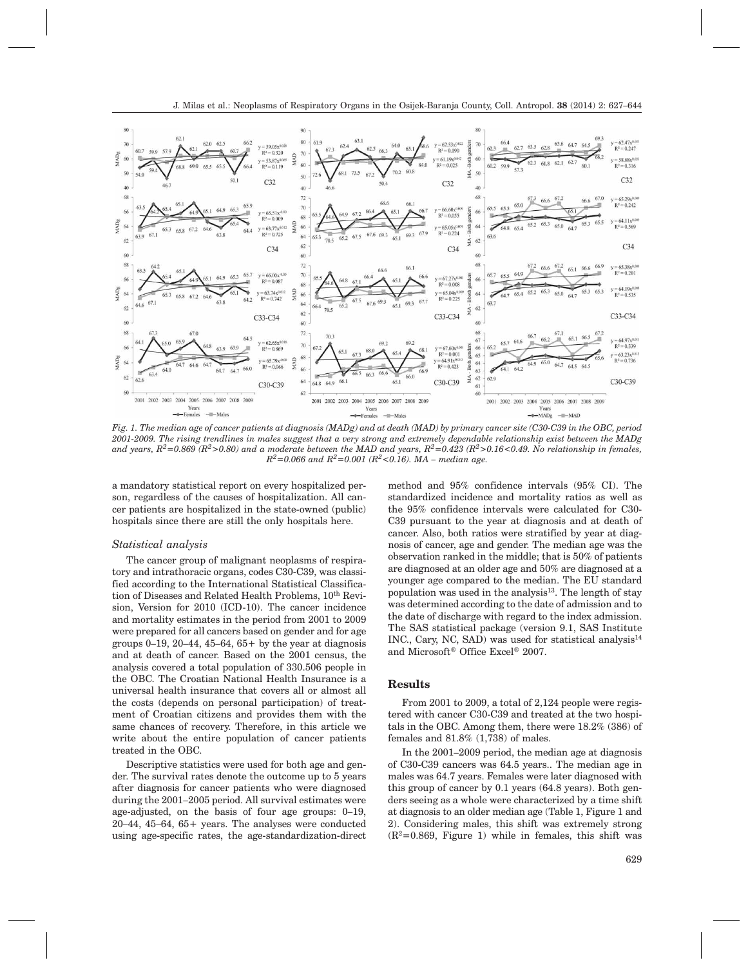

*Fig. 1. The median age of cancer patients at diagnosis (MADg) and at death (MAD) by primary cancer site (C30-C39 in the OBC, period 2001-2009. The rising trendlines in males suggest that a very strong and extremely dependable relationship exist between the MADg* and years,  $R^2=0.869$  ( $R^2>0.80$ ) and a moderate between the MAD and years,  $R^2=0.423$  ( $R^2>0.16<0.49$ . No relationship in females,  $R^2$ =0.066 and  $R^2$ =0.001 ( $R^2$ <0.16). MA – median age.

a mandatory statistical report on every hospitalized person, regardless of the causes of hospitalization. All cancer patients are hospitalized in the state-owned (public) hospitals since there are still the only hospitals here.

#### *Statistical analysis*

The cancer group of malignant neoplasms of respiratory and intrathoracic organs, codes C30-C39, was classified according to the International Statistical Classification of Diseases and Related Health Problems,  $10^{th}$  Revision, Version for 2010 (ICD-10). The cancer incidence and mortality estimates in the period from 2001 to 2009 were prepared for all cancers based on gender and for age groups  $0-19$ ,  $20-44$ ,  $45-64$ ,  $65+$  by the year at diagnosis and at death of cancer. Based on the 2001 census, the analysis covered a total population of 330.506 people in the OBC. The Croatian National Health Insurance is a universal health insurance that covers all or almost all the costs (depends on personal participation) of treatment of Croatian citizens and provides them with the same chances of recovery. Therefore, in this article we write about the entire population of cancer patients treated in the OBC.

Descriptive statistics were used for both age and gender. The survival rates denote the outcome up to 5 years after diagnosis for cancer patients who were diagnosed during the 2001–2005 period. All survival estimates were age-adjusted, on the basis of four age groups: 0–19, 20–44, 45–64, 65+ years. The analyses were conducted using age-specific rates, the age-standardization-direct method and 95% confidence intervals (95% CI). The standardized incidence and mortality ratios as well as the 95% confidence intervals were calculated for C30- C39 pursuant to the year at diagnosis and at death of cancer. Also, both ratios were stratified by year at diagnosis of cancer, age and gender. The median age was the observation ranked in the middle; that is 50% of patients are diagnosed at an older age and 50% are diagnosed at a younger age compared to the median. The EU standard population was used in the analysis<sup>13</sup>. The length of stay was determined according to the date of admission and to the date of discharge with regard to the index admission. The SAS statistical package (version 9.1, SAS Institute INC., Cary, NC, SAD) was used for statistical analysis $14$ and Microsoft® Office Excel® 2007.

#### **Results**

From 2001 to 2009, a total of 2,124 people were registered with cancer C30-C39 and treated at the two hospitals in the OBC. Among them, there were 18.2% (386) of females and 81.8% (1,738) of males.

In the 2001–2009 period, the median age at diagnosis of C30-C39 cancers was 64.5 years.. The median age in males was 64.7 years. Females were later diagnosed with this group of cancer by 0.1 years (64.8 years). Both genders seeing as a whole were characterized by a time shift at diagnosis to an older median age (Table 1, Figure 1 and 2). Considering males, this shift was extremely strong  $(R^2=0.869,$  Figure 1) while in females, this shift was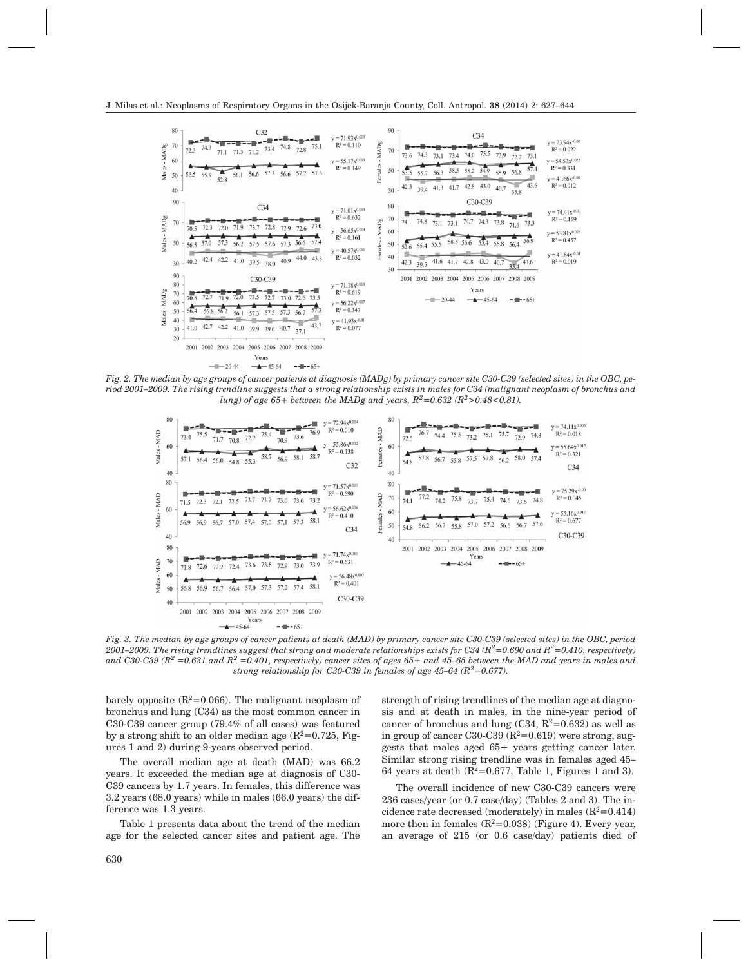

*Fig. 2. The median by age groups of cancer patients at diagnosis (MADg) by primary cancer site C30-C39 (selected sites) in the OBC, period 2001–2009. The rising trendline suggests that a strong relationship exists in males for C34 (malignant neoplasm of bronchus and lung) of age 65+ between the MADg and years, R2=0.632 (R2>0.48<0.81).*



*Fig. 3. The median by age groups of cancer patients at death (MAD) by primary cancer site C30-C39 (selected sites) in the OBC, period* 2001–2009. The rising trendlines suggest that strong and moderate relationships exists for C34 ( $R^2$ =0.690 and  $R^2$ =0.410, respectively) and C30-C39 ( $R^2$  =0.631 and  $R^2$  =0.401, respectively) cancer sites of ages 65+ and 45–65 between the MAD and years in males and *strong relationship for C30-C39 in females of age 45–64 (R2=0.677).*

barely opposite  $(R^2=0.066)$ . The malignant neoplasm of bronchus and lung (C34) as the most common cancer in C30-C39 cancer group (79.4% of all cases) was featured by a strong shift to an older median age  $(R^2=0.725, Fig$ ures 1 and 2) during 9-years observed period.

The overall median age at death (MAD) was 66.2 years. It exceeded the median age at diagnosis of C30- C39 cancers by 1.7 years. In females, this difference was 3.2 years (68.0 years) while in males (66.0 years) the difference was 1.3 years.

Table 1 presents data about the trend of the median age for the selected cancer sites and patient age. The

strength of rising trendlines of the median age at diagnosis and at death in males, in the nine-year period of cancer of bronchus and lung  $(C34, R^2=0.632)$  as well as in group of cancer C30-C39  $(R^2=0.619)$  were strong, suggests that males aged 65+ years getting cancer later. Similar strong rising trendline was in females aged 45– 64 years at death  $(R^2=0.677,$  Table 1, Figures 1 and 3).

The overall incidence of new C30-C39 cancers were 236 cases/year (or 0.7 case/day) (Tables 2 and 3). The incidence rate decreased (moderately) in males  $(R^2=0.414)$ more then in females  $(R^2=0.038)$  (Figure 4). Every year, an average of 215 (or 0.6 case/day) patients died of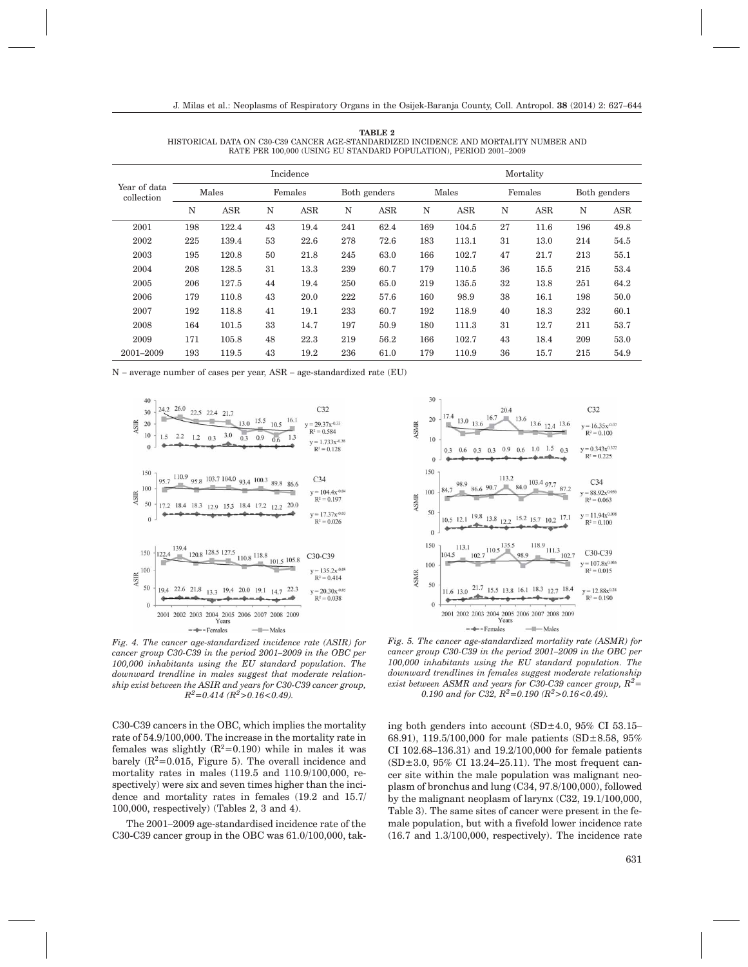**TABLE 2** HISTORICAL DATA ON C30-C39 CANCER AGE-STANDARDIZED INCIDENCE AND MORTALITY NUMBER AND RATE PER 100,000 (USING EU STANDARD POPULATION), PERIOD 2001–2009

|                            |     |            |    | Incidence  |     |              | Mortality |            |    |            |     |              |  |
|----------------------------|-----|------------|----|------------|-----|--------------|-----------|------------|----|------------|-----|--------------|--|
| Year of data<br>collection |     | Males      |    | Females    |     | Both genders |           | Males      |    | Females    |     | Both genders |  |
|                            | N   | <b>ASR</b> | N  | <b>ASR</b> | N   | <b>ASR</b>   | N         | <b>ASR</b> | N  | <b>ASR</b> | N   | <b>ASR</b>   |  |
| 2001                       | 198 | 122.4      | 43 | 19.4       | 241 | 62.4         | 169       | 104.5      | 27 | 11.6       | 196 | 49.8         |  |
| 2002                       | 225 | 139.4      | 53 | 22.6       | 278 | 72.6         | 183       | 113.1      | 31 | 13.0       | 214 | 54.5         |  |
| 2003                       | 195 | 120.8      | 50 | 21.8       | 245 | 63.0         | 166       | 102.7      | 47 | 21.7       | 213 | 55.1         |  |
| 2004                       | 208 | 128.5      | 31 | 13.3       | 239 | 60.7         | 179       | 110.5      | 36 | 15.5       | 215 | 53.4         |  |
| 2005                       | 206 | 127.5      | 44 | 19.4       | 250 | 65.0         | 219       | 135.5      | 32 | 13.8       | 251 | 64.2         |  |
| 2006                       | 179 | 110.8      | 43 | 20.0       | 222 | 57.6         | 160       | 98.9       | 38 | 16.1       | 198 | 50.0         |  |
| 2007                       | 192 | 118.8      | 41 | 19.1       | 233 | 60.7         | 192       | 118.9      | 40 | 18.3       | 232 | 60.1         |  |
| 2008                       | 164 | 101.5      | 33 | 14.7       | 197 | 50.9         | 180       | 111.3      | 31 | 12.7       | 211 | 53.7         |  |
| 2009                       | 171 | 105.8      | 48 | 22.3       | 219 | 56.2         | 166       | 102.7      | 43 | 18.4       | 209 | 53.0         |  |
| 2001-2009                  | 193 | 119.5      | 43 | 19.2       | 236 | 61.0         | 179       | 110.9      | 36 | 15.7       | 215 | 54.9         |  |

N – average number of cases per year, ASR – age-standardized rate (EU)



*Fig. 4. The cancer age-standardized incidence rate (ASIR) for cancer group C30-C39 in the period 2001–2009 in the OBC per 100,000 inhabitants using the EU standard population. The downward trendline in males suggest that moderate relationship exist between the ASIR and years for C30-C39 cancer group,*  $R^2$ =0.414 ( $R^2$ >0.16<0.49).

C30-C39 cancers in the OBC, which implies the mortality rate of 54.9/100,000. The increase in the mortality rate in females was slightly  $(R^2=0.190)$  while in males it was barely  $(R^2=0.015,$  Figure 5). The overall incidence and mortality rates in males (119.5 and 110.9/100,000, respectively) were six and seven times higher than the incidence and mortality rates in females (19.2 and 15.7/ 100,000, respectively) (Tables 2, 3 and 4).

The 2001–2009 age-standardised incidence rate of the C30-C39 cancer group in the OBC was 61.0/100,000, tak-



*Fig. 5. The cancer age-standardized mortality rate (ASMR) for cancer group C30-C39 in the period 2001–2009 in the OBC per 100,000 inhabitants using the EU standard population. The downward trendlines in females suggest moderate relationship exist between ASMR and years for C30-C39 cancer group, R2= 0.190 and for C32, R2=0.190 (R2>0.16<0.49).*

ing both genders into account (SD±4.0, 95% CI 53.15– 68.91), 119.5/100,000 for male patients (SD±8.58, 95% CI 102.68–136.31) and 19.2/100,000 for female patients  $(SD \pm 3.0, 95\% \text{ CI } 13.24 - 25.11)$ . The most frequent cancer site within the male population was malignant neoplasm of bronchus and lung (C34, 97.8/100,000), followed by the malignant neoplasm of larynx (C32, 19.1/100,000, Table 3). The same sites of cancer were present in the female population, but with a fivefold lower incidence rate (16.7 and 1.3/100,000, respectively). The incidence rate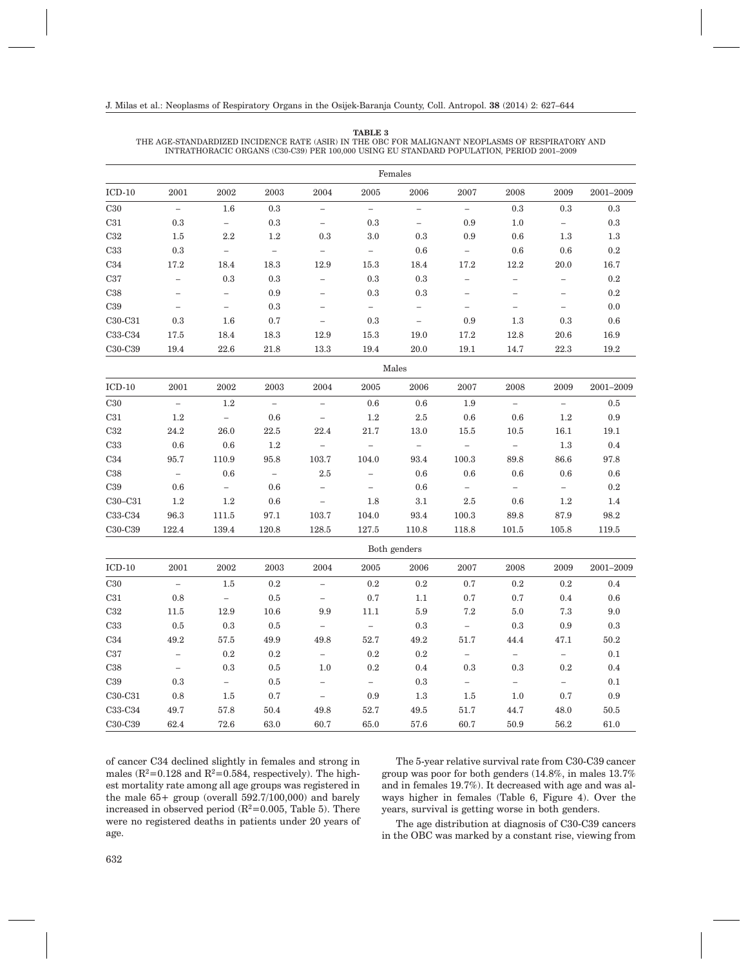|           |                                   |           |                          |                          |                          | Females           |                          |                          |                          |           |
|-----------|-----------------------------------|-----------|--------------------------|--------------------------|--------------------------|-------------------|--------------------------|--------------------------|--------------------------|-----------|
| $ICD-10$  | 2001                              | 2002      | 2003                     | 2004                     | $\,2005\,$               | 2006              | 2007                     | 2008                     | 2009                     | 2001-2009 |
| C30       | $\overline{\phantom{0}}$          | $1.6\,$   | $\rm 0.3$                | $\overline{a}$           | $\equiv$                 | $\overline{a}$    | $\equiv$                 | $\rm 0.3$                | $\rm 0.3$                | $0.3\,$   |
| $\rm C31$ | 0.3                               | $\equiv$  | 0.3                      | $\equiv$                 | 0.3                      | $\equiv$          | 0.9                      | 1.0                      | $\equiv$                 | 0.3       |
| C32       | $1.5\,$                           | 2.2       | $1.2\,$                  | 0.3                      | $3.0\,$                  | 0.3               | $0.9\,$                  | 0.6                      | 1.3                      | 1.3       |
| C33       | $\rm 0.3$                         | $\equiv$  | $\equiv$                 | $\overline{a}$           | $\equiv$                 | 0.6               | $\equiv$                 | 0.6                      | 0.6                      | 0.2       |
| C34       | 17.2                              | 18.4      | 18.3                     | 12.9                     | 15.3                     | 18.4              | 17.2                     | 12.2                     | 20.0                     | 16.7      |
| C37       | $\overline{\phantom{0}}$          | 0.3       | $\rm 0.3$                | $\qquad \qquad -$        | 0.3                      | 0.3               | $\overline{\phantom{0}}$ | $\overline{\phantom{0}}$ | $\overline{\phantom{0}}$ | 0.2       |
| C38       | L.                                | $\equiv$  | 0.9                      | $\overline{a}$           | 0.3                      | 0.3               | $\overline{a}$           | $\equiv$                 | $\overline{\phantom{0}}$ | 0.2       |
| C39       | $\hspace{0.1in} - \hspace{0.1in}$ | $\equiv$  | $\rm 0.3$                | $\qquad \qquad -$        | $\overline{\phantom{0}}$ | $\qquad \qquad -$ | $\overline{\phantom{a}}$ | $\overline{\phantom{a}}$ | $\overline{\phantom{a}}$ | 0.0       |
| C30-C31   | 0.3                               | 1.6       | 0.7                      | $\overline{\phantom{0}}$ | 0.3                      | $\equiv$          | 0.9                      | 1.3                      | 0.3                      | 0.6       |
| C33-C34   | 17.5                              | 18.4      | 18.3                     | 12.9                     | 15.3                     | 19.0              | 17.2                     | 12.8                     | 20.6                     | 16.9      |
| C30-C39   | 19.4                              | 22.6      | 21.8                     | 13.3                     | 19.4                     | 20.0              | 19.1                     | 14.7                     | 22.3                     | 19.2      |
|           |                                   |           |                          |                          |                          | Males             |                          |                          |                          |           |
| $ICD-10$  | 2001                              | 2002      | 2003                     | 2004                     | 2005                     | 2006              | 2007                     | 2008                     | 2009                     | 2001-2009 |
| C30       | $\overline{\phantom{0}}$          | $1.2\,$   | $\equiv$                 | $\overline{\phantom{a}}$ | 0.6                      | $0.6\,$           | 1.9                      | $\sim$                   | $\overline{\phantom{a}}$ | 0.5       |
| C31       | 1.2                               | $\equiv$  | 0.6                      | $\overline{\phantom{a}}$ | 1.2                      | 2.5               | 0.6                      | 0.6                      | 1.2                      | 0.9       |
| C32       | 24.2                              | 26.0      | $22.5\,$                 | 22.4                     | 21.7                     | 13.0              | 15.5                     | 10.5                     | 16.1                     | 19.1      |
| C33       | 0.6                               | 0.6       | 1.2                      | $\equiv$                 | $\equiv$                 | $\equiv$          | $\equiv$                 | $\equiv$                 | 1.3                      | 0.4       |
| C34       | 95.7                              | 110.9     | 95.8                     | 103.7                    | 104.0                    | 93.4              | 100.3                    | 89.8                     | 86.6                     | 97.8      |
| $\rm C38$ | $\overline{\phantom{0}}$          | 0.6       | $\overline{\phantom{m}}$ | 2.5                      | $\qquad \qquad -$        | 0.6               | 0.6                      | 0.6                      | 0.6                      | 0.6       |
| C39       | 0.6                               | $\equiv$  | 0.6                      | $\equiv$                 | $\equiv$                 | 0.6               | $\equiv$                 | $\equiv$                 | $\equiv$                 | 0.2       |
| $C30-C31$ | $1.2\,$                           | $1.2\,$   | $0.6\,$                  | $\equiv$                 | 1.8                      | $3.1\,$           | $2.5\,$                  | 0.6                      | 1.2                      | 1.4       |
| C33-C34   | $96.3\,$                          | 111.5     | $97.1\,$                 | 103.7                    | 104.0                    | 93.4              | 100.3                    | 89.8                     | 87.9                     | 98.2      |
| C30-C39   | 122.4                             | 139.4     | 120.8                    | 128.5                    | 127.5                    | 110.8             | 118.8                    | 101.5                    | 105.8                    | 119.5     |
|           |                                   |           |                          |                          |                          | Both genders      |                          |                          |                          |           |
| $ICD-10$  | 2001                              | 2002      | 2003                     | 2004                     | $\,2005\,$               | 2006              | 2007                     | 2008                     | 2009                     | 2001-2009 |
| C30       | $\equiv$                          | 1.5       | 0.2                      | $\equiv$                 | 0.2                      | 0.2               | 0.7                      | 0.2                      | 0.2                      | 0.4       |
| C31       | 0.8                               | $\equiv$  | 0.5                      | $\overline{\phantom{0}}$ | 0.7                      | 1.1               | $0.7\,$                  | 0.7                      | 0.4                      | 0.6       |
| C32       | 11.5                              | 12.9      | 10.6                     | 9.9                      | 11.1                     | 5.9               | 7.2                      | 5.0                      | 7.3                      | 9.0       |
| C33       | $0.5\,$                           | 0.3       | 0.5                      |                          | $\bar{ }$                | 0.3               | $\overline{\phantom{0}}$ | 0.3                      | 0.9                      | $\rm 0.3$ |
| C34       | 49.2                              | 57.5      | 49.9                     | 49.8                     | 52.7                     | 49.2              | 51.7                     | 44.4                     | 47.1                     | $50.2\,$  |
| $\rm C37$ | $\overline{\phantom{a}}$          | 0.2       | $\rm 0.2$                | $\overline{\phantom{0}}$ | $\rm 0.2$                | $\rm 0.2$         | $\overline{\phantom{0}}$ | $\equiv$                 | $\overline{\phantom{0}}$ | $0.1\,$   |
| C38       |                                   | $\rm 0.3$ | 0.5                      | 1.0                      | 0.2                      | 0.4               | 0.3                      | 0.3                      | 0.2                      | 0.4       |
| C39       | 0.3                               | $\equiv$  | 0.5                      | $\equiv$                 | $\equiv$                 | 0.3               | $\overline{\phantom{0}}$ | $\equiv$                 | $\equiv$                 | 0.1       |
| C30-C31   | 0.8                               | 1.5       | 0.7                      | $\qquad \qquad -$        | $0.9\,$                  | 1.3               | 1.5                      | 1.0                      | 0.7                      | 0.9       |
| C33-C34   | 49.7                              | 57.8      | 50.4                     | 49.8                     | 52.7                     | 49.5              | 51.7                     | 44.7                     | 48.0                     | $50.5\,$  |
| C30-C39   | 62.4                              | 72.6      | 63.0                     | 60.7                     | 65.0                     | 57.6              | 60.7                     | 50.9                     | 56.2                     | 61.0      |

**TABLE 3** THE AGE-STANDARDIZED INCIDENCE RATE (ASIR) IN THE OBC FOR MALIGNANT NEOPLASMS OF RESPIRATORY AND INTRATHORACIC ORGANS (C30-C39) PER 100,000 USING EU STANDARD POPULATION, PERIOD 2001–2009

of cancer C34 declined slightly in females and strong in males  $(R^2=0.128$  and  $R^2=0.584$ , respectively). The highest mortality rate among all age groups was registered in the male 65+ group (overall 592.7/100,000) and barely increased in observed period  $(R^2=0.005,$  Table 5). There were no registered deaths in patients under 20 years of age.

The 5-year relative survival rate from C30-C39 cancer group was poor for both genders (14.8%, in males 13.7% and in females 19.7%). It decreased with age and was always higher in females (Table 6, Figure 4). Over the years, survival is getting worse in both genders.

The age distribution at diagnosis of C30-C39 cancers in the OBC was marked by a constant rise, viewing from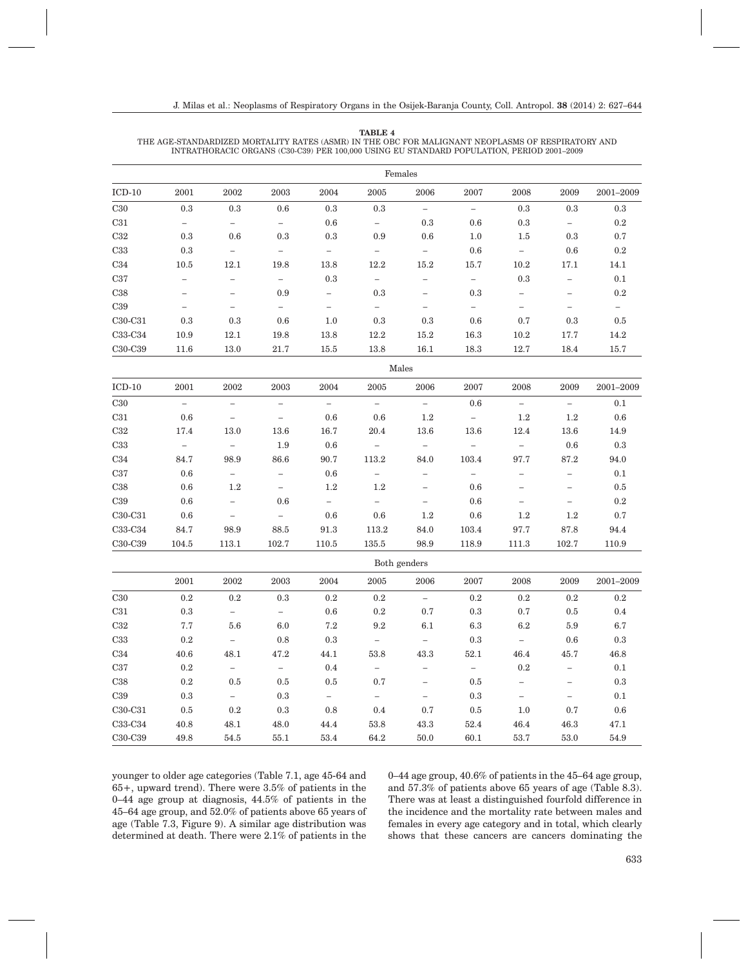**TABLE 4** THE AGE-STANDARDIZED MORTALITY RATES (ASMR) IN THE OBC FOR MALIGNANT NEOPLASMS OF RESPIRATORY AND INTRATHORACIC ORGANS (C30-C39) PER 100,000 USING EU STANDARD POPULATION, PERIOD 2001–2009

|           |                          |                          |                          |                          |                          | Females                  |                          |                          |                          |           |
|-----------|--------------------------|--------------------------|--------------------------|--------------------------|--------------------------|--------------------------|--------------------------|--------------------------|--------------------------|-----------|
| $ICD-10$  | 2001                     | 2002                     | 2003                     | 2004                     | 2005                     | 2006                     | 2007                     | 2008                     | 2009                     | 2001-2009 |
| C30       | 0.3                      | 0.3                      | 0.6                      | 0.3                      | 0.3                      | $\equiv$                 | $\equiv$                 | 0.3                      | 0.3                      | 0.3       |
| C31       | $-$                      | $\equiv$                 | $\equiv$                 | 0.6                      | $\sim$                   | 0.3                      | 0.6                      | 0.3                      | $\sim$                   | 0.2       |
| C32       | 0.3                      | 0.6                      | 0.3                      | 0.3                      | 0.9                      | 0.6                      | $1.0\,$                  | 1.5                      | 0.3                      | $0.7\,$   |
| C33       | $\rm 0.3$                | $\equiv$                 | $\overline{\phantom{0}}$ | $\equiv$                 | $\overline{\phantom{0}}$ | $\overline{\phantom{0}}$ | $0.6\,$                  | $\overline{\phantom{a}}$ | 0.6                      | $\rm 0.2$ |
| C34       | 10.5                     | 12.1                     | 19.8                     | 13.8                     | 12.2                     | 15.2                     | 15.7                     | $10.2\,$                 | 17.1                     | 14.1      |
| C37       | $\overline{\phantom{0}}$ | $\overline{\phantom{0}}$ | $\equiv$                 | 0.3                      | $\overline{\phantom{0}}$ | $\overline{\phantom{0}}$ | $\overline{\phantom{0}}$ | $\rm 0.3$                | $\equiv$                 | $0.1\,$   |
| C38       | $\overline{\phantom{0}}$ | $\overline{\phantom{0}}$ | 0.9                      | $\equiv$                 | 0.3                      | $\overline{\phantom{0}}$ | 0.3                      | $\overline{\phantom{0}}$ | $\overline{\phantom{0}}$ | 0.2       |
| C39       | $\overline{\phantom{0}}$ | $\equiv$                 | $\overline{\phantom{0}}$ | $\overline{\phantom{0}}$ | $\equiv$                 | $\overline{\phantom{0}}$ | $\bar{\phantom{a}}$      | $\overline{\phantom{0}}$ | $\equiv$                 | $\sim$    |
| C30-C31   | 0.3                      | $\rm 0.3$                | 0.6                      | 1.0                      | $\rm 0.3$                | $\rm 0.3$                | $0.6\,$                  | 0.7                      | 0.3                      | $0.5\,$   |
| C33-C34   | 10.9                     | 12.1                     | 19.8                     | 13.8                     | 12.2                     | 15.2                     | 16.3                     | 10.2                     | 17.7                     | 14.2      |
| C30-C39   | 11.6                     | 13.0                     | 21.7                     | 15.5                     | 13.8                     | 16.1                     | 18.3                     | 12.7                     | 18.4                     | 15.7      |
|           |                          |                          |                          |                          |                          | Males                    |                          |                          |                          |           |
| $ICD-10$  | 2001                     | 2002                     | 2003                     | 2004                     | 2005                     | 2006                     | 2007                     | 2008                     | 2009                     | 2001-2009 |
| C30       | $\equiv$                 | $\overline{a}$           | $\overline{a}$           | $\equiv$                 | $\equiv$                 | $\equiv$                 | $0.6\,$                  | $\equiv$                 | $\equiv$                 | 0.1       |
| C31       | 0.6                      | $\equiv$                 | $\overline{\phantom{a}}$ | 0.6                      | 0.6                      | 1.2                      | $\equiv$                 | 1.2                      | 1.2                      | 0.6       |
| C32       | 17.4                     | 13.0                     | 13.6                     | 16.7                     | 20.4                     | 13.6                     | 13.6                     | 12.4                     | 13.6                     | 14.9      |
| C33       | $\equiv$                 | $\equiv$                 | 1.9                      | 0.6                      | $\overline{\phantom{0}}$ | $\qquad \qquad -$        | $\bar{\phantom{a}}$      | $\equiv$                 | $0.6\,$                  | $\rm 0.3$ |
| C34       | 84.7                     | 98.9                     | 86.6                     | 90.7                     | 113.2                    | 84.0                     | 103.4                    | 97.7                     | 87.2                     | 94.0      |
| C37       | 0.6                      | $\overline{\phantom{0}}$ | $\qquad \qquad -$        | 0.6                      | $\overline{\phantom{0}}$ |                          | $\qquad \qquad -$        |                          | $\overline{\phantom{0}}$ | 0.1       |
| C38       | 0.6                      | 1.2                      | $\equiv$                 | 1.2                      | $1.2\,$                  | $\overline{\phantom{0}}$ | 0.6                      | $\overline{\phantom{0}}$ | $\qquad \qquad -$        | $\rm 0.5$ |
| C39       | 0.6                      | $\equiv$                 | 0.6                      | $\equiv$                 | $\equiv$                 | $\qquad \qquad -$        | 0.6                      | $\equiv$                 | $\equiv$                 | 0.2       |
| C30-C31   | 0.6                      | $\equiv$                 | $\overline{a}$           | 0.6                      | 0.6                      | 1.2                      | 0.6                      | 1.2                      | 1.2                      | 0.7       |
| C33-C34   | 84.7                     | 98.9                     | 88.5                     | 91.3                     | 113.2                    | 84.0                     | 103.4                    | 97.7                     | 87.8                     | 94.4      |
| C30-C39   | 104.5                    | 113.1                    | 102.7                    | 110.5                    | 135.5                    | 98.9                     | 118.9                    | 111.3                    | 102.7                    | 110.9     |
|           |                          |                          |                          |                          |                          | Both genders             |                          |                          |                          |           |
|           | 2001                     | 2002                     | 2003                     | 2004                     | 2005                     | 2006                     | 2007                     | 2008                     | 2009                     | 2001-2009 |
| C30       | 0.2                      | 0.2                      | 0.3                      | 0.2                      | 0.2                      | $\equiv$                 | $\rm 0.2$                | 0.2                      | 0.2                      | 0.2       |
| C31       | 0.3                      | $\equiv$                 | $\overline{\phantom{0}}$ | 0.6                      | 0.2                      | 0.7                      | $\rm 0.3$                | 0.7                      | 0.5                      | 0.4       |
| C32       | 7.7                      | 5.6                      | 6.0                      | 7.2                      | 9.2                      | 6.1                      | 6.3                      | 6.2                      | 5.9                      | 6.7       |
| C33       | 0.2                      | $\equiv$                 | 0.8                      | 0.3                      | $\equiv$                 | $\equiv$                 | 0.3                      | $\equiv$                 | 0.6                      | 0.3       |
| C34       | 40.6                     | 48.1                     | 47.2                     | 44.1                     | 53.8                     | 43.3                     | 52.1                     | 46.4                     | 45.7                     | 46.8      |
| C37       | 0.2                      | $\equiv$                 | $\overline{\phantom{0}}$ | 0.4                      | $\overline{\phantom{0}}$ | $\overline{a}$           | $\equiv$                 | $\rm 0.2$                | $\qquad \qquad -$        | $0.1\,$   |
| $\rm C38$ | 0.2                      | 0.5                      | 0.5                      | 0.5                      | 0.7                      | $\equiv$                 | $\rm 0.5$                |                          | $\overline{\phantom{0}}$ | 0.3       |
| C39       | 0.3                      | $\overline{a}$           | 0.3                      | $\equiv$                 | $\equiv$                 | $\equiv$                 | 0.3                      | $\qquad \qquad -$        | $\equiv$                 | 0.1       |
| C30-C31   | 0.5                      | 0.2                      | 0.3                      | 0.8                      | 0.4                      | 0.7                      | 0.5                      | 1.0                      | 0.7                      | $0.6\,$   |
| C33-C34   | 40.8                     | 48.1                     | 48.0                     | 44.4                     | 53.8                     | 43.3                     | 52.4                     | 46.4                     | 46.3                     | 47.1      |
| C30-C39   | 49.8                     | 54.5                     | 55.1                     | 53.4                     | 64.2                     | 50.0                     | 60.1                     | 53.7                     | 53.0                     | 54.9      |

younger to older age categories (Table 7.1, age 45-64 and 65+, upward trend). There were 3.5% of patients in the 0–44 age group at diagnosis, 44.5% of patients in the 45–64 age group, and 52.0% of patients above 65 years of age (Table 7.3, Figure 9). A similar age distribution was determined at death. There were 2.1% of patients in the

0–44 age group, 40.6% of patients in the 45–64 age group, and 57.3% of patients above 65 years of age (Table 8.3). There was at least a distinguished fourfold difference in the incidence and the mortality rate between males and females in every age category and in total, which clearly shows that these cancers are cancers dominating the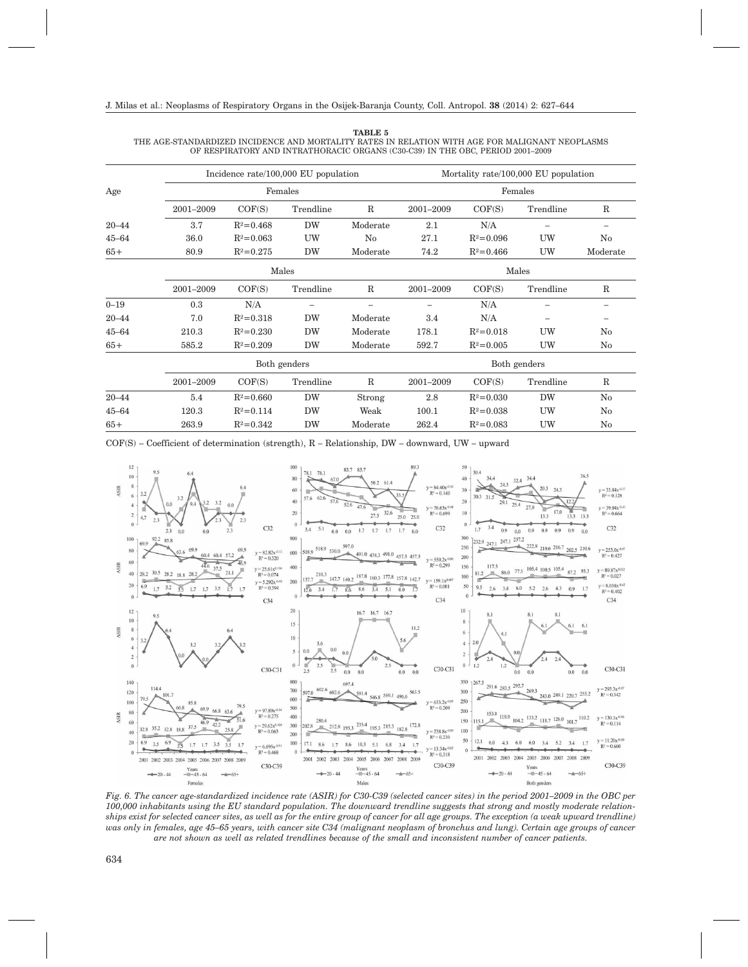|                                                                                       |           |               | Incidence rate/100,000 EU population |             |           |               | Mortality rate/100,000 EU population |             |  |  |
|---------------------------------------------------------------------------------------|-----------|---------------|--------------------------------------|-------------|-----------|---------------|--------------------------------------|-------------|--|--|
| Age<br>$20 - 44$<br>$45 - 64$<br>$65+$<br>$0 - 19$<br>$20 - 44$<br>$45 - 64$<br>$65+$ |           |               | Females                              |             | Females   |               |                                      |             |  |  |
|                                                                                       | 2001-2009 | COF(S)        | Trendline                            | $\mathbb R$ | 2001-2009 | COF(S)        | Trendline                            | $\mathbb R$ |  |  |
|                                                                                       | 3.7       | $R^2 = 0.468$ | <b>DW</b>                            | Moderate    | 2.1       | N/A           | $\overline{\phantom{0}}$             |             |  |  |
|                                                                                       | 36.0      | $R^2 = 0.063$ | UW                                   | No          | 27.1      | $R^2 = 0.096$ | UW                                   | No          |  |  |
|                                                                                       | 80.9      | $R^2 = 0.275$ | <b>DW</b>                            | Moderate    | 74.2      | $R^2 = 0.466$ | UW                                   | Moderate    |  |  |
|                                                                                       |           |               | Males                                |             |           |               | Males                                |             |  |  |
|                                                                                       | 2001-2009 | COF(S)        | Trendline                            | $\mathbb R$ | 2001-2009 | COF(S)        | Trendline                            | $\mathbb R$ |  |  |
|                                                                                       | 0.3       | N/A           | -                                    | -           |           | N/A           |                                      |             |  |  |
|                                                                                       | 7.0       | $R^2 = 0.318$ | <b>DW</b>                            | Moderate    | 3.4       | N/A           | -                                    |             |  |  |
|                                                                                       | 210.3     | $R^2 = 0.230$ | <b>DW</b>                            | Moderate    | 178.1     | $R^2 = 0.018$ | UW                                   | No          |  |  |
|                                                                                       | 585.2     | $R^2 = 0.209$ | <b>DW</b>                            | Moderate    | 592.7     | $R^2 = 0.005$ | UW                                   | No          |  |  |
|                                                                                       |           |               | Both genders                         |             |           |               | Both genders                         |             |  |  |
|                                                                                       | 2001-2009 | COF(S)        | Trendline                            | $\mathbb R$ | 2001-2009 | COF(S)        | Trendline                            | $\mathbf R$ |  |  |
| $20 - 44$                                                                             | 5.4       | $R^2 = 0.660$ | <b>DW</b>                            | Strong      | 2.8       | $R^2 = 0.030$ | <b>DW</b>                            | $\rm No$    |  |  |
| $45 - 64$                                                                             | 120.3     | $R^2 = 0.114$ | <b>DW</b>                            | Weak        | 100.1     | $R^2 = 0.038$ | UW                                   | No          |  |  |
| $65+$                                                                                 | 263.9     | $R^2 = 0.342$ | <b>DW</b>                            | Moderate    | 262.4     | $R^2 = 0.083$ | UW                                   | $\rm No$    |  |  |

**TABLE 5** THE AGE-STANDARDIZED INCIDENCE AND MORTALITY RATES IN RELATION WITH AGE FOR MALIGNANT NEOPLASMS OF RESPIRATORY AND INTRATHORACIC ORGANS (C30-C39) IN THE OBC, PERIOD 2001–2009

COF(S) – Coefficient of determination (strength), R – Relationship, DW – downward, UW – upward



*Fig. 6. The cancer age-standardized incidence rate (ASIR) for C30-C39 (selected cancer sites) in the period 2001–2009 in the OBC per 100,000 inhabitants using the EU standard population. The downward trendline suggests that strong and mostly moderate relationships exist for selected cancer sites, as well as for the entire group of cancer for all age groups. The exception (a weak upward trendline) was only in females, age 45–65 years, with cancer site C34 (malignant neoplasm of bronchus and lung). Certain age groups of cancer are not shown as well as related trendlines because of the small and inconsistent number of cancer patients.*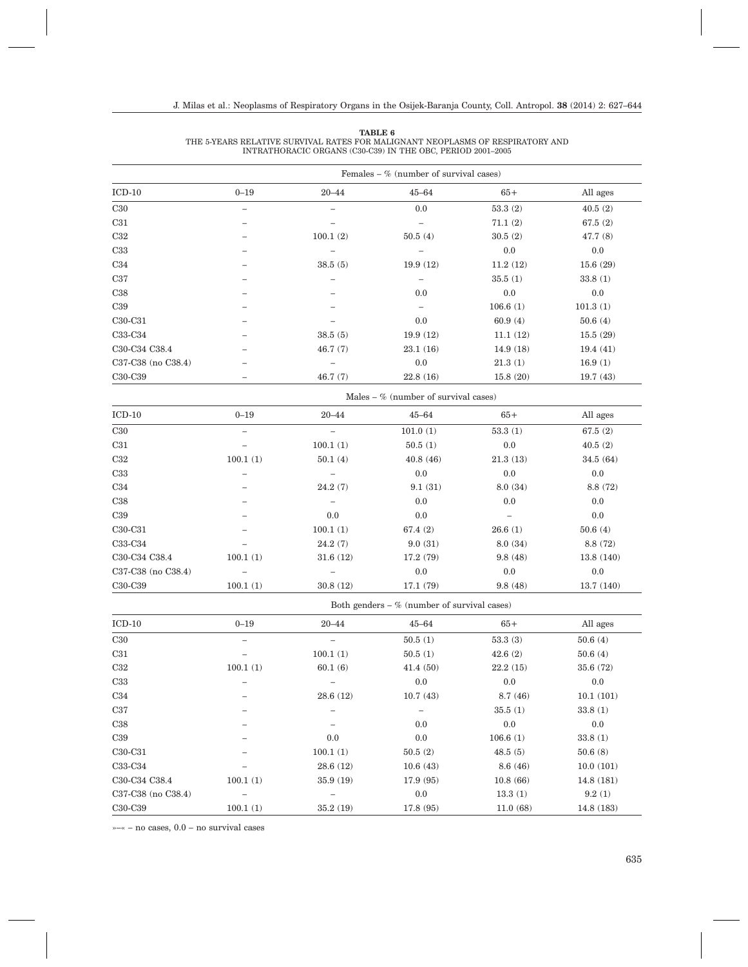|                    |                          |                          | Females – $%$ (number of survival cases)      |                          |            |
|--------------------|--------------------------|--------------------------|-----------------------------------------------|--------------------------|------------|
| $ICD-10$           | $0 - 19$                 | $20 - 44$                | $45 - 64$                                     | $65+$                    | All ages   |
| C30                | $\qquad \qquad -$        | $\overline{\phantom{0}}$ | 0.0                                           | 53.3(2)                  | 40.5(2)    |
| C31                |                          | $\qquad \qquad -$        | $\overline{\phantom{a}}$                      | 71.1(2)                  | 67.5(2)    |
| C32                |                          | 100.1(2)                 | 50.5(4)                                       | 30.5(2)                  | 47.7(8)    |
| C33                |                          |                          |                                               | 0.0                      | 0.0        |
| C34                |                          | 38.5(5)                  | 19.9(12)                                      | 11.2(12)                 | 15.6(29)   |
| C37                |                          |                          |                                               | 35.5(1)                  | 33.8(1)    |
| C38                |                          |                          | 0.0                                           | 0.0                      | 0.0        |
| C39                |                          |                          |                                               | 106.6(1)                 | 101.3(1)   |
| C30-C31            |                          |                          | 0.0                                           | 60.9(4)                  | 50.6(4)    |
| C33-C34            |                          | 38.5(5)                  | 19.9(12)                                      | 11.1(12)                 | 15.5(29)   |
| C30-C34 C38.4      |                          | 46.7(7)                  | 23.1(16)                                      | 14.9(18)                 | 19.4(41)   |
| C37-C38 (no C38.4) |                          | $\overline{\phantom{0}}$ | 0.0                                           | 21.3(1)                  | 16.9(1)    |
| C30-C39            |                          | 46.7(7)                  | 22.8(16)                                      | 15.8(20)                 | 19.7(43)   |
|                    |                          |                          | Males $-$ % (number of survival cases)        |                          |            |
| $ICD-10$           | $0 - 19$                 | $20 - 44$                | $45 - 64$                                     | $65+$                    | All ages   |
| C30                | $\qquad \qquad -$        | $\equiv$                 | 101.0(1)                                      | 53.3(1)                  | 67.5(2)    |
| C31                |                          | 100.1(1)                 | 50.5(1)                                       | 0.0                      | 40.5(2)    |
| C32                | 100.1(1)                 | 50.1(4)                  | 40.8(46)                                      | 21.3(13)                 | 34.5 (64)  |
| C33                |                          |                          | 0.0                                           | 0.0                      | 0.0        |
| C34                |                          | 24.2(7)                  | 9.1(31)                                       | 8.0(34)                  | 8.8 (72)   |
| C38                |                          |                          | 0.0                                           | 0.0                      | 0.0        |
| C39                |                          | 0.0                      | 0.0                                           | $\overline{\phantom{0}}$ | 0.0        |
| C30-C31            |                          | 100.1(1)                 | 67.4(2)                                       | 26.6(1)                  | 50.6(4)    |
| C33-C34            |                          | 24.2(7)                  | 9.0(31)                                       | 8.0(34)                  | 8.8 (72)   |
| C30-C34 C38.4      | 100.1(1)                 | 31.6(12)                 | 17.2 (79)                                     | 9.8(48)                  | 13.8 (140) |
| C37-C38 (no C38.4) | $\overline{\phantom{0}}$ |                          | 0.0                                           | 0.0                      | 0.0        |
| C30-C39            | 100.1(1)                 | 30.8(12)                 | 17.1 (79)                                     | 9.8(48)                  | 13.7 (140) |
|                    |                          |                          | Both genders $-$ % (number of survival cases) |                          |            |
| $ICD-10$           | $0 - 19$                 | $20 - 44$                | $45 - 64$                                     | $65+$                    | All ages   |
| <b>C30</b>         | $\qquad \qquad -$        | $\overline{\phantom{0}}$ | 50.5(1)                                       | 53.3(3)                  | 50.6(4)    |
| C31                | $\overline{\phantom{m}}$ | 100.1(1)                 | 50.5(1)                                       | 42.6(2)                  | 50.6(4)    |
| C32                | 100.1(1)                 | 60.1(6)                  | 41.4(50)                                      | 22.2(15)                 | 35.6 (72)  |
| C33                |                          | $\overline{\phantom{a}}$ | $0.0\,$                                       | $0.0\,$                  | $0.0\,$    |
| C34                |                          | 28.6(12)                 | 10.7(43)                                      | 8.7(46)                  | 10.1(101)  |
| C37                |                          | $\overline{\phantom{0}}$ | $\overline{\phantom{0}}$                      | 35.5(1)                  | 33.8(1)    |
| C38                |                          | $\qquad \qquad -$        | 0.0                                           | $0.0\,$                  | 0.0        |
| C39                |                          | 0.0                      | 0.0                                           | 106.6(1)                 | 33.8(1)    |
| $C30-C31$          |                          | 100.1(1)                 | 50.5(2)                                       | 48.5(5)                  | 50.6(8)    |
| C33-C34            |                          | 28.6 (12)                | 10.6(43)                                      | 8.6(46)                  | 10.0(101)  |
| C30-C34 C38.4      | 100.1(1)                 | 35.9(19)                 | 17.9 (95)                                     | 10.8(66)                 | 14.8 (181) |
| C37-C38 (no C38.4) | $\overline{\phantom{0}}$ | $\overline{\phantom{0}}$ | 0.0                                           | 13.3(1)                  | 9.2(1)     |
| C30-C39            | 100.1(1)                 | 35.2(19)                 | 17.8 (95)                                     | 11.0(68)                 | 14.8 (183) |

**TABLE 6** THE 5-YEARS RELATIVE SURVIVAL RATES FOR MALIGNANT NEOPLASMS OF RESPIRATORY AND INTRATHORACIC ORGANS (C30-C39) IN THE OBC, PERIOD 2001–2005

»–« – no cases, 0.0 – no survival cases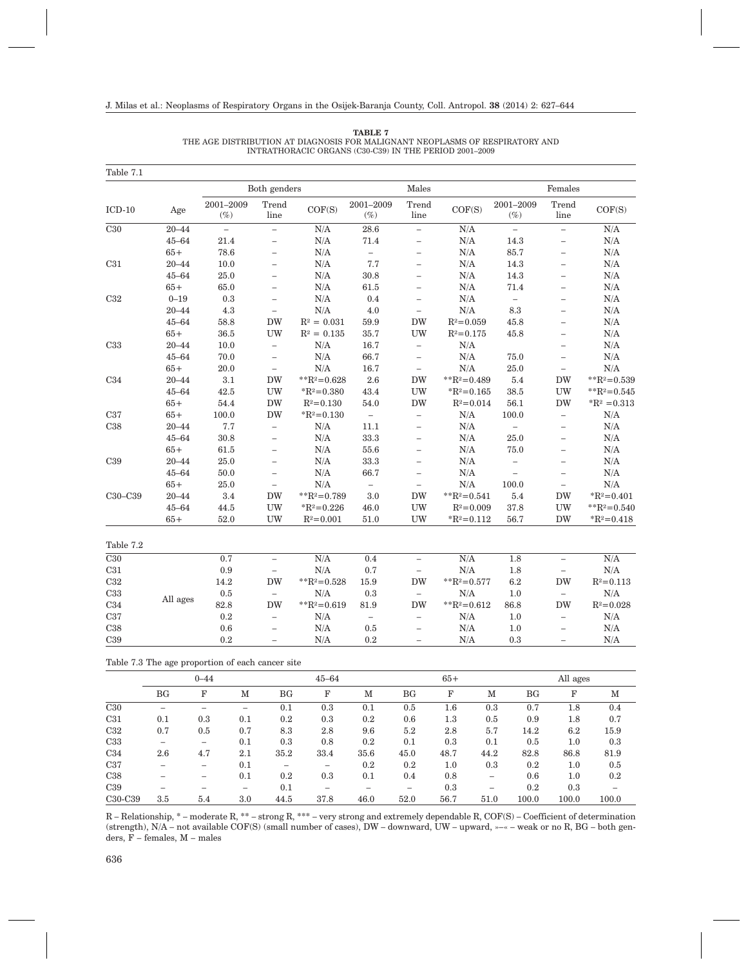| Table 7.1        |           |                     |                          |                   |                     |                                   |                           |                          |                          |                   |
|------------------|-----------|---------------------|--------------------------|-------------------|---------------------|-----------------------------------|---------------------------|--------------------------|--------------------------|-------------------|
|                  |           |                     | Both genders             |                   |                     | Males                             |                           |                          | Females                  |                   |
| $ICD-10$         | Age       | 2001-2009<br>$(\%)$ | Trend<br>line            | COF(S)            | 2001-2009<br>$(\%)$ | Trend<br>line                     | COF(S)                    | 2001-2009<br>$(\%)$      | Trend<br>line            | COF(S)            |
| $\overline{C30}$ | $20 - 44$ | $\equiv$            | $\equiv$                 | N/A               | 28.6                | $\equiv$                          | $\rm N/A$                 | $\equiv$                 | $\overline{\phantom{a}}$ | $\rm N/A$         |
|                  | $45 - 64$ | 21.4                | $\qquad \qquad -$        | N/A               | 71.4                | $\qquad \qquad -$                 | N/A                       | 14.3                     | $\overline{\phantom{a}}$ | $\rm N/A$         |
|                  | $65+$     | 78.6                | $\overline{\phantom{0}}$ | N/A               | $\overline{a}$      | $\overline{\phantom{m}}$          | $\rm N/A$                 | 85.7                     | $\overline{\phantom{0}}$ | $\rm N/A$         |
| C31              | $20 - 44$ | 10.0                | ÷,                       | N/A               | 7.7                 | $\overline{\phantom{0}}$          | N/A                       | 14.3                     | $\overline{\phantom{0}}$ | $\rm N/A$         |
|                  | $45 - 64$ | $25.0\,$            | $\overline{\phantom{0}}$ | N/A               | 30.8                | $\overline{\phantom{0}}$          | $\rm N/A$                 | 14.3                     | $\overline{\phantom{0}}$ | $\rm N/A$         |
|                  | $65+$     | 65.0                | $\overline{\phantom{0}}$ | N/A               | 61.5                | $\qquad \qquad -$                 | N/A                       | 71.4                     | $\overline{\phantom{0}}$ | $\rm N/A$         |
| C32              | $0 - 19$  | 0.3                 | $\overline{\phantom{a}}$ | N/A               | 0.4                 | $\qquad \qquad -$                 | N/A                       | $\overline{\phantom{a}}$ | $\overline{\phantom{0}}$ | $\rm N/A$         |
|                  | $20 - 44$ | 4.3                 | $\qquad \qquad -$        | N/A               | 4.0                 | $\overline{\phantom{m}}$          | N/A                       | 8.3                      | $\overline{\phantom{0}}$ | $\rm N/A$         |
|                  | $45 - 64$ | 58.8                | <b>DW</b>                | $R^2 = 0.031$     | 59.9                | <b>DW</b>                         | $R^2 = 0.059$             | 45.8                     | $\overline{\phantom{0}}$ | $\rm N/A$         |
|                  | $65+$     | $36.5\,$            | UW                       | $R^2 = 0.135$     | 35.7                | <b>UW</b>                         | $R^2 = 0.175$             | 45.8                     | $\overline{\phantom{0}}$ | N/A               |
| C33              | $20 - 44$ | 10.0                | $\overline{\phantom{a}}$ | N/A               | 16.7                | $\overline{\phantom{0}}$          | N/A                       |                          | $\overline{\phantom{0}}$ | $\rm N/A$         |
|                  | $45 - 64$ | 70.0                | $\overline{\phantom{0}}$ | N/A               | 66.7                | $\overline{\phantom{0}}$          | $\rm N/A$                 | 75.0                     | $\overline{\phantom{0}}$ | $\rm N/A$         |
|                  | $65+$     | 20.0                | $\equiv$                 | N/A               | 16.7                | $\equiv$                          | N/A                       | 25.0                     | $\equiv$                 | $\rm N/A$         |
| C34              | $20 - 44$ | $3.1\,$             | <b>DW</b>                | ** $R^2=0.628$    | 2.6                 | <b>DW</b>                         | $*$ R <sup>2</sup> =0.489 | 5.4                      | <b>DW</b>                | $*$ $R^2 = 0.539$ |
|                  | $45 - 64$ | 42.5                | UW                       | $R^2 = 0.380$     | 43.4                | <b>UW</b>                         | $R^2=0.165$               | 38.5                     | UW                       | ** $R^2 = 0.545$  |
|                  | $65+$     | 54.4                | <b>DW</b>                | $R^2 = 0.130$     | 54.0                | <b>DW</b>                         | $R^2 = 0.014$             | 56.1                     | <b>DW</b>                | $R^2 = 0.313$     |
| C37              | $65+$     | 100.0               | <b>DW</b>                | $R^2 = 0.130$     | $\equiv$            | $\overline{\phantom{a}}$          | $\rm N/A$                 | 100.0                    | $\overline{\phantom{0}}$ | $\rm N/A$         |
| $\rm C38$        | $20 - 44$ | 7.7                 | $\overline{\phantom{0}}$ | N/A               | 11.1                | $\qquad \qquad -$                 | N/A                       | $\equiv$                 | $\qquad \qquad -$        | $\rm N/A$         |
|                  | $45 - 64$ | 30.8                | $\overline{\phantom{a}}$ | N/A               | 33.3                | $\qquad \qquad -$                 | N/A                       | 25.0                     | $\overline{\phantom{0}}$ | $\rm N/A$         |
|                  | $65+$     | 61.5                | $\equiv$                 | $\rm N/A$         | 55.6                | $\overline{a}$                    | $\rm N/A$                 | $75.0\,$                 | $\overline{\phantom{0}}$ | $\rm N/A$         |
| C39              | $20 - 44$ | $25.0\,$            | $\qquad \qquad -$        | N/A               | 33.3                | $\overline{\phantom{m}}$          | N/A                       | $\qquad \qquad -$        | $\overline{\phantom{0}}$ | $\rm N/A$         |
|                  | $45 - 64$ | $50.0\,$            | $\overline{\phantom{0}}$ | N/A               | 66.7                | $\overline{\phantom{a}}$          | N/A                       | $\overline{\phantom{a}}$ | $\overline{\phantom{0}}$ | $\rm N/A$         |
|                  | $65+$     | $25.0\,$            | $\equiv$                 | N/A               | $\overline{a}$      | $\qquad \qquad -$                 | N/A                       | 100.0                    | $\overline{\phantom{0}}$ | N/A               |
| C30-C39          | $20 - 44$ | 3.4                 | <b>DW</b>                | ** $R^2=0.789$    | 3.0                 | <b>DW</b>                         | $*$ $R^2 = 0.541$         | 5.4                      | <b>DW</b>                | $R^2=0.401$       |
|                  | $45 - 64$ | 44.5                | UW                       | $R^2=0.226$       | 46.0                | <b>UW</b>                         | $R^2 = 0.009$             | 37.8                     | UW                       | $*$ $R^2 = 0.540$ |
|                  | $65+$     | 52.0                | UW                       | $R^2 = 0.001$     | $51.0\,$            | <b>UW</b>                         | $R^2 = 0.112$             | 56.7                     | <b>DW</b>                | $R^2 = 0.418$     |
| Table $7.2\,$    |           |                     |                          |                   |                     |                                   |                           |                          |                          |                   |
| $\overline{C30}$ |           | 0.7                 | $\overline{\phantom{a}}$ | N/A               | 0.4                 | $\hspace{0.1in} - \hspace{0.1in}$ | $\rm N/A$                 | 1.8                      | $\qquad \qquad -$        | $\rm N/A$         |
| C31              |           | 0.9                 | $\overline{\phantom{0}}$ | $\rm N/A$         | 0.7                 | $\qquad \qquad -$                 | $\rm N/A$                 | 1.8                      | $\qquad \qquad -$        | $\rm N/A$         |
| C32              |           | 14.2                | <b>DW</b>                | $*$ $R^2 = 0.528$ | 15.9                | <b>DW</b>                         | ** $R^2=0.577$            | 6.2                      | <b>DW</b>                | $R^2 = 0.113$     |
| C33              |           | $0.5\,$             | $\qquad \qquad -$        | $\rm N/A$         | $\rm 0.3$           | $\overline{\phantom{a}}$          | $\rm N/A$                 | $1.0\,$                  | $\overline{\phantom{0}}$ | $\rm N/A$         |
| C34              | All ages  | 82.8                | <b>DW</b>                | ** $R^2=0.619$    | 81.9                | <b>DW</b>                         | ** $R^2 = 0.612$          | 86.8                     | <b>DW</b>                | $R^2 = 0.028$     |
| C37              |           | $0.2\,$             | $\overline{\phantom{0}}$ | N/A               | $\qquad \qquad -$   | $\qquad \qquad -$                 | N/A                       | 1.0                      | $\overline{\phantom{0}}$ | N/A               |
| $\rm C38$        |           | $0.6\,$             | $\overline{\phantom{0}}$ | N/A               | 0.5                 | $\overline{\phantom{0}}$          | N/A                       | 1.0                      | $\overline{\phantom{0}}$ | N/A               |
| C39              |           | 0.2                 | L,                       | N/A               | 0.2                 | $\qquad \qquad -$                 | N/A                       | $\rm 0.3$                | $\overline{\phantom{0}}$ | N/A               |

**TABLE 7** THE AGE DISTRIBUTION AT DIAGNOSIS FOR MALIGNANT NEOPLASMS OF RESPIRATORY AND INTRATHORACIC ORGANS (C30-C39) IN THE PERIOD 2001–2009

Table 7.3 The age proportion of each cancer site

|         | $0 - 44$ |     |     |      | $45 - 64$ |      |      | $65+$ |      |       | All ages |       |  |
|---------|----------|-----|-----|------|-----------|------|------|-------|------|-------|----------|-------|--|
|         | BG       | F   | М   | BG   | F         | М    | BG   | F     | M    | BG    | F        | M     |  |
| C30     |          |     |     | 0.1  | 0.3       | 0.1  | 0.5  | 1.6   | 0.3  | 0.7   | 1.8      | 0.4   |  |
| C31     | 0.1      | 0.3 | 0.1 | 0.2  | 0.3       | 0.2  | 0.6  | 1.3   | 0.5  | 0.9   | 1.8      | 0.7   |  |
| C32     | 0.7      | 0.5 | 0.7 | 8.3  | 2.8       | 9.6  | 5.2  | 2.8   | 5.7  | 14.2  | 6.2      | 15.9  |  |
| C33     | -        | -   | 0.1 | 0.3  | 0.8       | 0.2  | 0.1  | 0.3   | 0.1  | 0.5   | 1.0      | 0.3   |  |
| C34     | 2.6      | 4.7 | 2.1 | 35.2 | 33.4      | 35.6 | 45.0 | 48.7  | 44.2 | 82.8  | 86.8     | 81.9  |  |
| C37     | -        | -   | 0.1 |      | -         | 0.2  | 0.2  | 1.0   | 0.3  | 0.2   | 1.0      | 0.5   |  |
| C38     |          | -   | 0.1 | 0.2  | 0.3       | 0.1  | 0.4  | 0.8   | -    | 0.6   | 1.0      | 0.2   |  |
| C39     |          |     |     | 0.1  |           |      |      | 0.3   | -    | 0.2   | 0.3      |       |  |
| C30-C39 | 3.5      | 5.4 | 3.0 | 44.5 | 37.8      | 46.0 | 52.0 | 56.7  | 51.0 | 100.0 | 100.0    | 100.0 |  |

R – Relationship, \* – moderate R, \*\* – strong R, \*\*\* – very strong and extremely dependable R, COF(S) – Coefficient of determination (strength), N/A – not available COF(S) (small number of cases), DW – downward, UW – upward, »–« – weak or no R, BG – both genders, F – females, M – males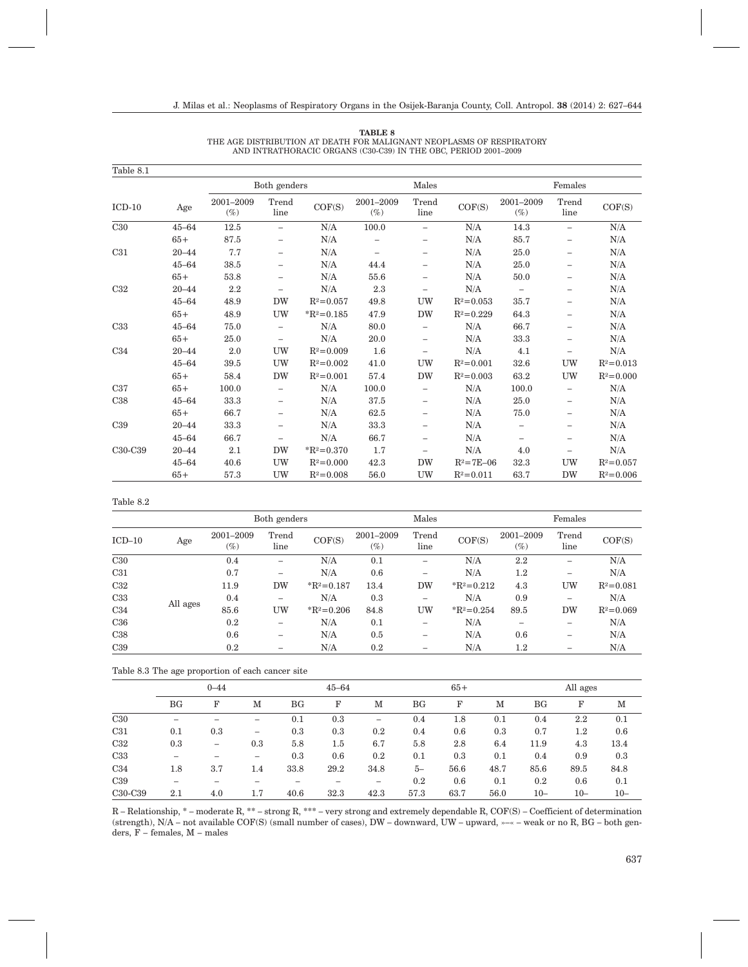| TABLE 8                                                              |
|----------------------------------------------------------------------|
| THE AGE DISTRIBUTION AT DEATH FOR MALIGNANT NEOPLASMS OF RESPIRATORY |
| AND INTRATHORACIC ORGANS (C30-C39) IN THE OBC. PERIOD 2001-2009      |

| Table 8.1 |           |                     |                          |               |                          |                          |                 |                          |                          |               |  |  |
|-----------|-----------|---------------------|--------------------------|---------------|--------------------------|--------------------------|-----------------|--------------------------|--------------------------|---------------|--|--|
|           |           |                     | Both genders             |               |                          | Males                    |                 |                          | Females                  |               |  |  |
| $ICD-10$  | Age       | 2001-2009<br>$(\%)$ | Trend<br>line            | COF(S)        | 2001-2009<br>$(\%)$      | Trend<br>line            | COF(S)          | 2001-2009<br>$(\%)$      | Trend<br>line            | COF(S)        |  |  |
| C30       | $45 - 64$ | 12.5                | -                        | N/A           | 100.0                    | $\overline{\phantom{0}}$ | N/A             | 14.3                     | $\overline{\phantom{m}}$ | $\rm N/A$     |  |  |
|           | $65+$     | 87.5                | -                        | N/A           |                          | -                        | N/A             | 85.7                     | $\qquad \qquad -$        | $\rm N/A$     |  |  |
| C31       | $20 - 44$ | 7.7                 | -                        | N/A           | $\overline{\phantom{0}}$ | $\overline{\phantom{0}}$ | N/A             | 25.0                     | $\qquad \qquad -$        | $\rm N/A$     |  |  |
|           | $45 - 64$ | 38.5                | -                        | N/A           | 44.4                     | -                        | N/A             | 25.0                     | $\qquad \qquad -$        | N/A           |  |  |
|           | $65+$     | 53.8                | -                        | N/A           | 55.6                     | -                        | N/A             | 50.0                     | -                        | N/A           |  |  |
| C32       | $20 - 44$ | 2.2                 | -                        | N/A           | 2.3                      | $\overline{\phantom{0}}$ | N/A             | $\qquad \qquad -$        | $\qquad \qquad -$        | N/A           |  |  |
|           | $45 - 64$ | 48.9                | <b>DW</b>                | $R^2 = 0.057$ | 49.8                     | UW                       | $R^2 = 0.053$   | 35.7                     | $\qquad \qquad -$        | $\rm N/A$     |  |  |
|           | $65+$     | 48.9                | UW                       | $R^2=0.185$   | 47.9                     | <b>DW</b>                | $R^2 = 0.229$   | 64.3                     | $\qquad \qquad -$        | N/A           |  |  |
| C33       | $45 - 64$ | 75.0                | -                        | N/A           | 80.0                     | $\qquad \qquad -$        | N/A             | 66.7                     | $\qquad \qquad -$        | N/A           |  |  |
|           | $65+$     | 25.0                | -                        | N/A           | 20.0                     | $\qquad \qquad -$        | N/A             | 33.3                     | $\qquad \qquad -$        | N/A           |  |  |
| C34       | $20 - 44$ | 2.0                 | UW                       | $R^2 = 0.009$ | 1.6                      | $\qquad \qquad -$        | N/A             | 4.1                      | $\qquad \qquad -$        | N/A           |  |  |
|           | $45 - 64$ | 39.5                | <b>UW</b>                | $R^2 = 0.002$ | 41.0                     | UW                       | $R^2 = 0.001$   | 32.6                     | UW                       | $R^2 = 0.013$ |  |  |
|           | $65+$     | 58.4                | <b>DW</b>                | $R^2 = 0.001$ | 57.4                     | <b>DW</b>                | $R^2 = 0.003$   | 63.2                     | UW                       | $R^2 = 0.000$ |  |  |
| C37       | $65+$     | 100.0               | $\overline{\phantom{0}}$ | N/A           | 100.0                    | $\overline{\phantom{0}}$ | N/A             | 100.0                    | $\qquad \qquad -$        | N/A           |  |  |
| C38       | $45 - 64$ | 33.3                | -                        | N/A           | 37.5                     | $\overline{\phantom{0}}$ | N/A             | 25.0                     | $\overline{\phantom{0}}$ | N/A           |  |  |
|           | $65+$     | 66.7                | -                        | N/A           | 62.5                     | -                        | N/A             | 75.0                     | -                        | $\rm N/A$     |  |  |
| C39       | $20 - 44$ | 33.3                |                          | N/A           | 33.3                     | -                        | N/A             |                          | -                        | N/A           |  |  |
|           | $45 - 64$ | 66.7                |                          | N/A           | 66.7                     | -                        | N/A             | $\overline{\phantom{0}}$ | $\qquad \qquad -$        | $\rm N/A$     |  |  |
| C30-C39   | $20 - 44$ | 2.1                 | <b>DW</b>                | $R^2=0.370$   | 1.7                      | -                        | N/A             | 4.0                      | $\overline{\phantom{0}}$ | N/A           |  |  |
|           | $45 - 64$ | 40.6                | UW                       | $R^2 = 0.000$ | 42.3                     | <b>DW</b>                | $R^2 = 7E - 06$ | 32.3                     | UW                       | $R^2 = 0.057$ |  |  |
|           | $65+$     | 57.3                | <b>UW</b>                | $R^2 = 0.008$ | 56.0                     | UW                       | $R^2 = 0.011$   | 63.7                     | <b>DW</b>                | $R^2 = 0.006$ |  |  |

Table 8.2

|                 |          |                                  | Both genders  |             |                     | Males                    |             |                     | Females         |               |
|-----------------|----------|----------------------------------|---------------|-------------|---------------------|--------------------------|-------------|---------------------|-----------------|---------------|
| $ICD-10$        | Age      | 2001-2009<br>$\left( \% \right)$ | Trend<br>line | COF(S)      | 2001-2009<br>$(\%)$ | Trend<br>line            | COF(S)      | 2001-2009<br>$(\%)$ | Trend<br>line   | COF(S)        |
| C30             |          | 0.4                              | -             | N/A         | 0.1                 | $\overline{\phantom{0}}$ | N/A         | 2.2                 | -               | N/A           |
| C31             |          | 0.7                              | -             | N/A         | 0.6                 | -                        | N/A         | $1.2\,$             | $\qquad \qquad$ | N/A           |
| C32             |          | 11.9                             | DW            | $R^2=0.187$ | 13.4                | DW                       | $R^2=0.212$ | 4.3                 | UW              | $R^2 = 0.081$ |
| C33             |          | 0.4                              | -             | N/A         | 0.3                 | -                        | N/A         | 0.9                 | -               | N/A           |
| C34             | All ages | 85.6                             | UW            | $R^2=0.206$ | 84.8                | UW                       | $R^2=0.254$ | 89.5                | DW              | $R^2 = 0.069$ |
| C36             |          | 0.2                              | -             | $\rm N/A$   | 0.1                 | $\overline{\phantom{0}}$ | N/A         |                     | -               | N/A           |
| C <sub>38</sub> |          | 0.6                              | -             | $\rm N/A$   | 0.5                 | -                        | N/A         | 0.6                 | -               | N/A           |
| C <sub>39</sub> |          | 0.2                              |               | $\rm N/A$   | 0.2                 | -                        | N/A         | $1.2\,$             | -               | N/A           |

Table 8.3 The age proportion of each cancer site

|                                  | $0 - 44$                 |     |     |      | $45 - 64$ |      |         | $65+$   |      |        | All ages |        |  |
|----------------------------------|--------------------------|-----|-----|------|-----------|------|---------|---------|------|--------|----------|--------|--|
|                                  | BG                       | F   | М   | BG   | F         | M    | BG      | F       | M    | BG     | F        | М      |  |
| C30                              |                          |     | -   | 0.1  | 0.3       | -    | 0.4     | $1.8\,$ | 0.1  | 0.4    | 2.2      | 0.1    |  |
| C31                              | 0.1                      | 0.3 | -   | 0.3  | 0.3       | 0.2  | 0.4     | 0.6     | 0.3  | 0.7    | $1.2\,$  | 0.6    |  |
| C32                              | 0.3                      | -   | 0.3 | 5.8  | 1.5       | 6.7  | 5.8     | 2.8     | 6.4  | 11.9   | 4.3      | 13.4   |  |
| C33                              |                          |     | -   | 0.3  | 0.6       | 0.2  | 0.1     | 0.3     | 0.1  | 0.4    | 0.9      | 0.3    |  |
| C34                              | 1.8                      | 3.7 | 1.4 | 33.8 | 29.2      | 34.8 | $5-$    | 56.6    | 48.7 | 85.6   | 89.5     | 84.8   |  |
| C <sub>39</sub>                  | $\overline{\phantom{a}}$ |     |     |      |           | -    | $0.2\,$ | 0.6     | 0.1  | 0.2    | 0.6      | 0.1    |  |
| C <sub>30</sub> -C <sub>39</sub> | 2.1                      | 4.0 | 1.7 | 40.6 | 32.3      | 42.3 | 57.3    | 63.7    | 56.0 | $10 -$ | $10 -$   | $10 -$ |  |

R – Relationship, \* – moderate R, \*\* – strong R, \*\*\* – very strong and extremely dependable R, COF(S) – Coefficient of determination (strength), N/A – not available COF(S) (small number of cases), DW – downward, UW – upward, »–« – weak or no R, BG – both genders, F – females, M – males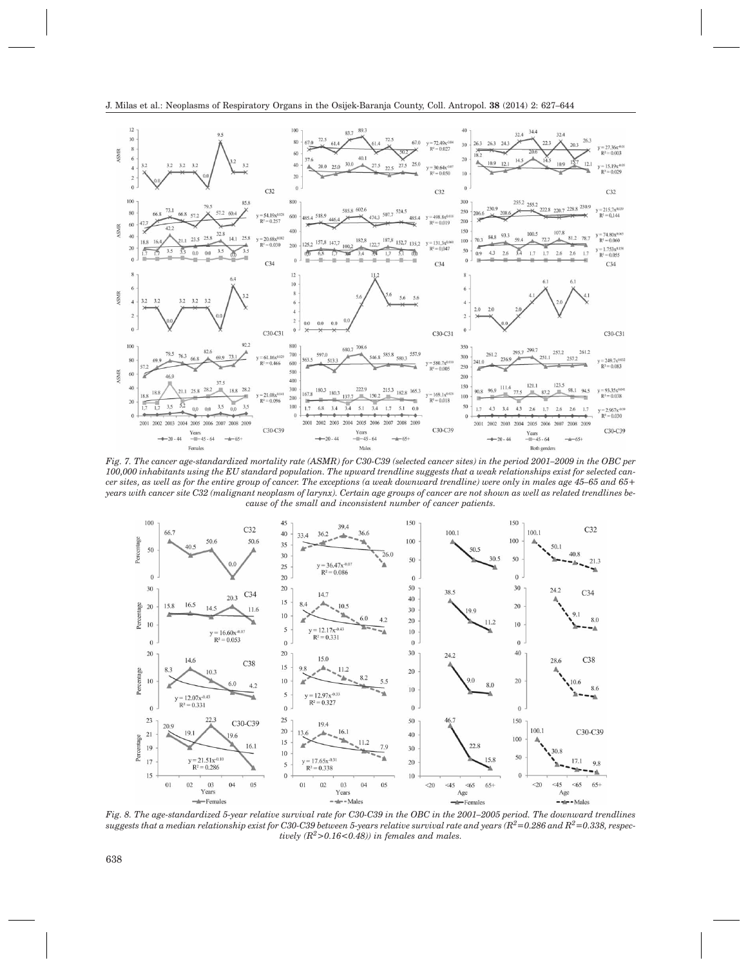

*Fig. 7. The cancer age-standardized mortality rate (ASMR) for C30-C39 (selected cancer sites) in the period 2001–2009 in the OBC per 100,000 inhabitants using the EU standard population. The upward trendline suggests that a weak relationships exist for selected cancer sites, as well as for the entire group of cancer. The exceptions (a weak downward trendline) were only in males age 45–65 and 65+ years with cancer site C32 (malignant neoplasm of larynx). Certain age groups of cancer are not shown as well as related trendlines because of the small and inconsistent number of cancer patients.*



*Fig. 8. The age-standardized 5-year relative survival rate for C30-C39 in the OBC in the 2001–2005 period. The downward trendlines* suggests that a median relationship exist for C30-C39 between 5-years relative survival rate and years ( $R^2$ =0.286 and  $R^2$ =0.338, respec*tively (R2>0.16<0.48)) in females and males.*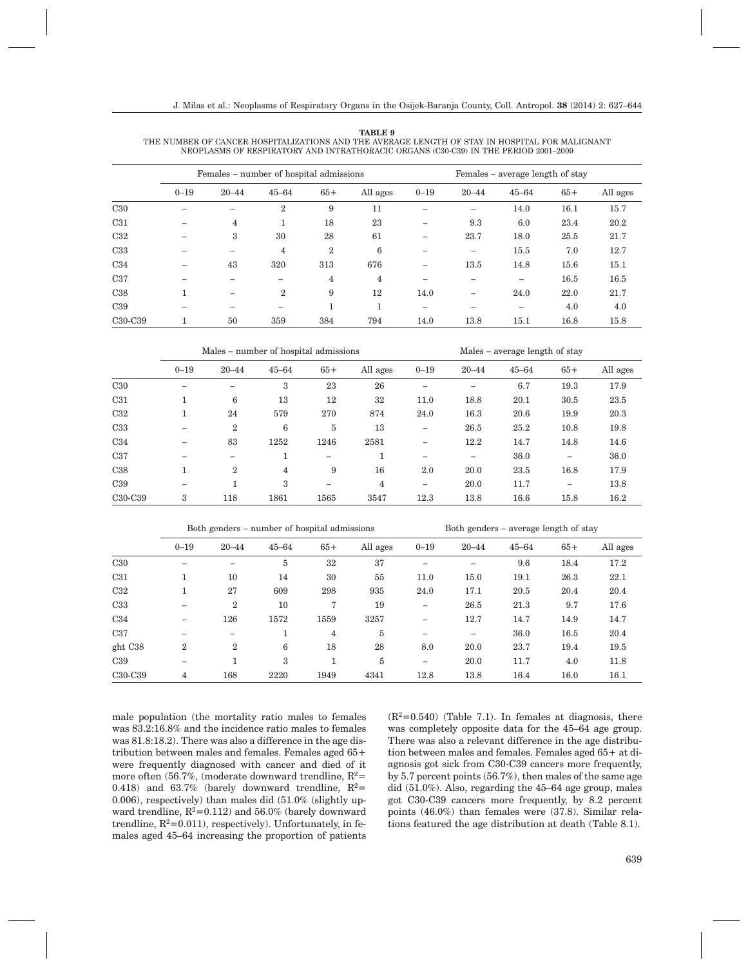|         | TATION TERMIN CHAN THING TELEVISIONAL COMPONENTIAL (COA CAA) TELEVISION WAAR WAARD TELEVISION |                                         |                |              |                |                                  |           |           |       |          |  |  |
|---------|-----------------------------------------------------------------------------------------------|-----------------------------------------|----------------|--------------|----------------|----------------------------------|-----------|-----------|-------|----------|--|--|
|         |                                                                                               | Females – number of hospital admissions |                |              |                | Females – average length of stay |           |           |       |          |  |  |
|         | $0 - 19$                                                                                      | $20 - 44$                               | $45 - 64$      | $65+$        | All ages       | $0 - 19$                         | $20 - 44$ | $45 - 64$ | $65+$ | All ages |  |  |
| C30     |                                                                                               |                                         | $\overline{2}$ | 9            | 11             |                                  |           | 14.0      | 16.1  | 15.7     |  |  |
| C31     |                                                                                               | 4                                       | 1              | 18           | 23             |                                  | 9.3       | 6.0       | 23.4  | 20.2     |  |  |
| C32     |                                                                                               | 3                                       | 30             | 28           | 61             | -                                | 23.7      | 18.0      | 25.5  | 21.7     |  |  |
| C33     |                                                                                               |                                         | $\overline{4}$ | $\mathbf{2}$ | 6              |                                  |           | 15.5      | 7.0   | 12.7     |  |  |
| C34     |                                                                                               | 43                                      | 320            | 313          | 676            | -                                | 13.5      | 14.8      | 15.6  | 15.1     |  |  |
| C37     |                                                                                               |                                         |                | 4            | $\overline{4}$ | -                                |           |           | 16.5  | 16.5     |  |  |
| C38     |                                                                                               | -                                       | $\overline{2}$ | 9            | 12             | 14.0                             |           | 24.0      | 22.0  | 21.7     |  |  |
| C39     |                                                                                               |                                         |                |              | 1              | -                                |           |           | 4.0   | 4.0      |  |  |
| C30-C39 |                                                                                               | 50                                      | 359            | 384          | 794            | 14.0                             | 13.8      | 15.1      | 16.8  | 15.8     |  |  |

**TABLE 9** THE NUMBER OF CANCER HOSPITALIZATIONS AND THE AVERAGE LENGTH OF STAY IN HOSPITAL FOR MALIGNANT NEOPLASMS OF RESPIRATORY AND INTRATHORACIC ORGANS (C30-C39) IN THE PERIOD 2001–2009

| Males – number of hospital admissions | Males - average length of stay |
|---------------------------------------|--------------------------------|
|                                       |                                |

|                                  | $0 - 19$                 | $20 - 44$      | $45 - 64$ | $65+$                    | All ages | $0 - 19$ | $20 - 44$ | $45 - 64$ | $65+$                    | All ages |
|----------------------------------|--------------------------|----------------|-----------|--------------------------|----------|----------|-----------|-----------|--------------------------|----------|
| C30                              | $\overline{\phantom{0}}$ | -              | 3         | 23                       | 26       | -        | -         | 6.7       | 19.3                     | 17.9     |
| C31                              |                          | 6              | 13        | 12                       | 32       | 11.0     | 18.8      | 20.1      | 30.5                     | 23.5     |
| C32                              |                          | 24             | 579       | 270                      | 874      | 24.0     | 16.3      | 20.6      | 19.9                     | 20.3     |
| C33                              | $\overline{\phantom{0}}$ | $\overline{2}$ | 6         | 5                        | 13       | -        | 26.5      | 25.2      | 10.8                     | 19.8     |
| C34                              | -                        | 83             | 1252      | 1246                     | 2581     | -        | 12.2      | 14.7      | 14.8                     | 14.6     |
| C37                              | $\overline{\phantom{0}}$ | -              |           | $\overline{\phantom{0}}$ |          | -        | -         | 36.0      | -                        | 36.0     |
| C38                              |                          | $\mathbf{2}$   | 4         | 9                        | 16       | 2.0      | 20.0      | 23.5      | 16.8                     | 17.9     |
| C <sub>39</sub>                  | $\overline{\phantom{0}}$ |                | 3         |                          | 4        | -        | 20.0      | 11.7      | $\overline{\phantom{0}}$ | 13.8     |
| C <sub>30</sub> -C <sub>39</sub> | 3                        | 118            | 1861      | 1565                     | 3547     | 12.3     | 13.8      | 16.6      | 15.8                     | 16.2     |

|                                  |                | Both genders – number of hospital admissions |           |       |          | Both genders – average length of stay |           |           |       |          |
|----------------------------------|----------------|----------------------------------------------|-----------|-------|----------|---------------------------------------|-----------|-----------|-------|----------|
|                                  | $0 - 19$       | $20 - 44$                                    | $45 - 64$ | $65+$ | All ages | $0 - 19$                              | $20 - 44$ | $45 - 64$ | $65+$ | All ages |
| C30                              |                |                                              | 5         | 32    | 37       |                                       |           | 9.6       | 18.4  | 17.2     |
| C31                              |                | 10                                           | 14        | 30    | 55       | 11.0                                  | 15.0      | 19.1      | 26.3  | 22.1     |
| C32                              |                | 27                                           | 609       | 298   | 935      | 24.0                                  | 17.1      | 20.5      | 20.4  | 20.4     |
| C33                              |                | $\overline{2}$                               | 10        | 7     | 19       |                                       | 26.5      | 21.3      | 9.7   | 17.6     |
| C34                              |                | 126                                          | 1572      | 1559  | 3257     | -                                     | 12.7      | 14.7      | 14.9  | 14.7     |
| C37                              |                |                                              |           | 4     | 5        | -                                     |           | 36.0      | 16.5  | 20.4     |
| ght C38                          | $\overline{2}$ | $\mathbf{2}$                                 | 6         | 18    | 28       | 8.0                                   | 20.0      | 23.7      | 19.4  | 19.5     |
| C <sub>39</sub>                  |                |                                              | 3         |       | 5        | $\overline{\phantom{0}}$              | 20.0      | 11.7      | 4.0   | 11.8     |
| C <sub>30</sub> -C <sub>39</sub> | 4              | 168                                          | 2220      | 1949  | 4341     | 12.8                                  | 13.8      | 16.4      | 16.0  | 16.1     |

male population (the mortality ratio males to females was 83.2:16.8% and the incidence ratio males to females was 81.8:18.2). There was also a difference in the age distribution between males and females. Females aged 65+ were frequently diagnosed with cancer and died of it more often (56.7%, (moderate downward trendline,  $R^2=$ 0.418) and 63.7% (barely downward trendline,  $R^2$ = 0.006), respectively) than males did (51.0% (slightly upward trendline,  $R^2=0.112$ ) and 56.0% (barely downward trendline,  $R^2 = 0.011$ ), respectively). Unfortunately, in females aged 45–64 increasing the proportion of patients  $(R^2=0.540)$  (Table 7.1). In females at diagnosis, there was completely opposite data for the 45–64 age group. There was also a relevant difference in the age distribution between males and females. Females aged 65+ at diagnosis got sick from C30-C39 cancers more frequently, by 5.7 percent points (56.7%), then males of the same age did (51.0%). Also, regarding the 45–64 age group, males got C30-C39 cancers more frequently, by 8.2 percent points (46.0%) than females were (37.8). Similar relations featured the age distribution at death (Table 8.1).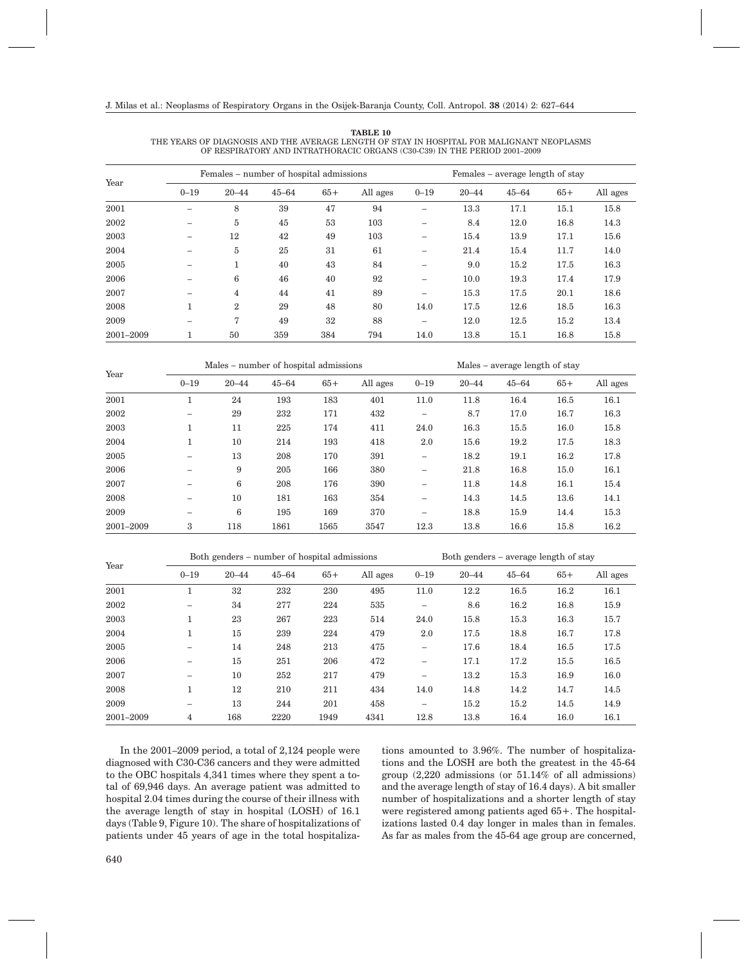|           |          | Females – number of hospital admissions |           |       |          | Females – average length of stay |           |           |       |          |
|-----------|----------|-----------------------------------------|-----------|-------|----------|----------------------------------|-----------|-----------|-------|----------|
| Year      | $0 - 19$ | $20 - 44$                               | $45 - 64$ | $65+$ | All ages | $0 - 19$                         | $20 - 44$ | $45 - 64$ | $65+$ | All ages |
| 2001      |          | 8                                       | 39        | 47    | 94       | -                                | 13.3      | 17.1      | 15.1  | 15.8     |
| 2002      |          | 5                                       | 45        | 53    | 103      | -                                | 8.4       | 12.0      | 16.8  | 14.3     |
| 2003      |          | 12                                      | 42        | 49    | 103      | -                                | 15.4      | 13.9      | 17.1  | 15.6     |
| 2004      |          | 5                                       | 25        | 31    | 61       |                                  | 21.4      | 15.4      | 11.7  | 14.0     |
| 2005      |          | -1                                      | 40        | 43    | 84       |                                  | 9.0       | 15.2      | 17.5  | 16.3     |
| 2006      |          | 6                                       | 46        | 40    | 92       | -                                | 10.0      | 19.3      | 17.4  | 17.9     |
| 2007      |          | $\overline{4}$                          | 44        | 41    | 89       |                                  | 15.3      | 17.5      | 20.1  | 18.6     |
| 2008      |          | $\overline{2}$                          | 29        | 48    | 80       | 14.0                             | 17.5      | 12.6      | 18.5  | 16.3     |
| 2009      |          | 7                                       | 49        | 32    | 88       | -                                | 12.0      | 12.5      | 15.2  | 13.4     |
| 2001-2009 |          | 50                                      | 359       | 384   | 794      | 14.0                             | 13.8      | 15.1      | 16.8  | 15.8     |

| TABLE 10                                                                                  |  |
|-------------------------------------------------------------------------------------------|--|
| THE YEARS OF DIAGNOSIS AND THE AVERAGE LENGTH OF STAY IN HOSPITAL FOR MALIGNANT NEOPLASMS |  |
| OF RESPIRATORY AND INTRATHORACIC ORGANS (C30-C39) IN THE PERIOD 2001–2009                 |  |

| Year      |          | Males – number of hospital admissions |           |       | Males – average length of stay |          |           |           |       |          |
|-----------|----------|---------------------------------------|-----------|-------|--------------------------------|----------|-----------|-----------|-------|----------|
|           | $0 - 19$ | $20 - 44$                             | $45 - 64$ | $65+$ | All ages                       | $0 - 19$ | $20 - 44$ | $45 - 64$ | $65+$ | All ages |
| 2001      |          | 24                                    | 193       | 183   | 401                            | 11.0     | 11.8      | 16.4      | 16.5  | 16.1     |
| 2002      |          | 29                                    | 232       | 171   | 432                            |          | 8.7       | 17.0      | 16.7  | 16.3     |
| 2003      |          | 11                                    | 225       | 174   | 411                            | 24.0     | 16.3      | 15.5      | 16.0  | 15.8     |
| 2004      | Ŧ.       | 10                                    | 214       | 193   | 418                            | 2.0      | 15.6      | 19.2      | 17.5  | 18.3     |
| 2005      |          | 13                                    | 208       | 170   | 391                            | -        | 18.2      | 19.1      | 16.2  | 17.8     |
| 2006      |          | 9                                     | 205       | 166   | 380                            |          | 21.8      | 16.8      | 15.0  | 16.1     |
| 2007      |          | 6                                     | 208       | 176   | 390                            |          | 11.8      | 14.8      | 16.1  | 15.4     |
| 2008      |          | 10                                    | 181       | 163   | 354                            |          | 14.3      | 14.5      | 13.6  | 14.1     |
| 2009      |          | 6                                     | 195       | 169   | 370                            | -        | 18.8      | 15.9      | 14.4  | 15.3     |
| 2001-2009 | 3        | 118                                   | 1861      | 1565  | 3547                           | 12.3     | 13.8      | 16.6      | 15.8  | 16.2     |

| Year      |          | Both genders – number of hospital admissions |           |       |          | Both genders – average length of stay |           |           |       |          |  |
|-----------|----------|----------------------------------------------|-----------|-------|----------|---------------------------------------|-----------|-----------|-------|----------|--|
|           | $0 - 19$ | $20 - 44$                                    | $45 - 64$ | $65+$ | All ages | $0 - 19$                              | $20 - 44$ | $45 - 64$ | $65+$ | All ages |  |
| 2001      |          | 32                                           | 232       | 230   | 495      | 11.0                                  | 12.2      | 16.5      | 16.2  | 16.1     |  |
| 2002      |          | 34                                           | 277       | 224   | 535      |                                       | 8.6       | 16.2      | 16.8  | 15.9     |  |
| 2003      | 1        | 23                                           | 267       | 223   | 514      | 24.0                                  | 15.8      | 15.3      | 16.3  | 15.7     |  |
| 2004      |          | 15                                           | 239       | 224   | 479      | 2.0                                   | 17.5      | 18.8      | 16.7  | 17.8     |  |
| 2005      |          | 14                                           | 248       | 213   | 475      |                                       | 17.6      | 18.4      | 16.5  | 17.5     |  |
| 2006      |          | 15                                           | 251       | 206   | 472      |                                       | 17.1      | 17.2      | 15.5  | 16.5     |  |
| 2007      |          | 10                                           | 252       | 217   | 479      | -                                     | 13.2      | 15.3      | 16.9  | 16.0     |  |
| 2008      |          | 12                                           | 210       | 211   | 434      | 14.0                                  | 14.8      | 14.2      | 14.7  | 14.5     |  |
| 2009      | -        | 13                                           | 244       | 201   | 458      | -                                     | 15.2      | 15.2      | 14.5  | 14.9     |  |
| 2001-2009 | 4        | 168                                          | 2220      | 1949  | 4341     | 12.8                                  | 13.8      | 16.4      | 16.0  | 16.1     |  |

In the 2001–2009 period, a total of 2,124 people were diagnosed with C30-C36 cancers and they were admitted to the OBC hospitals 4,341 times where they spent a total of 69,946 days. An average patient was admitted to hospital 2.04 times during the course of their illness with the average length of stay in hospital (LOSH) of 16.1 days (Table 9, Figure 10). The share of hospitalizations of patients under 45 years of age in the total hospitaliza-

tions amounted to 3.96%. The number of hospitalizations and the LOSH are both the greatest in the 45-64 group (2,220 admissions (or 51.14% of all admissions) and the average length of stay of 16.4 days). A bit smaller number of hospitalizations and a shorter length of stay were registered among patients aged 65+. The hospitalizations lasted 0.4 day longer in males than in females. As far as males from the 45-64 age group are concerned,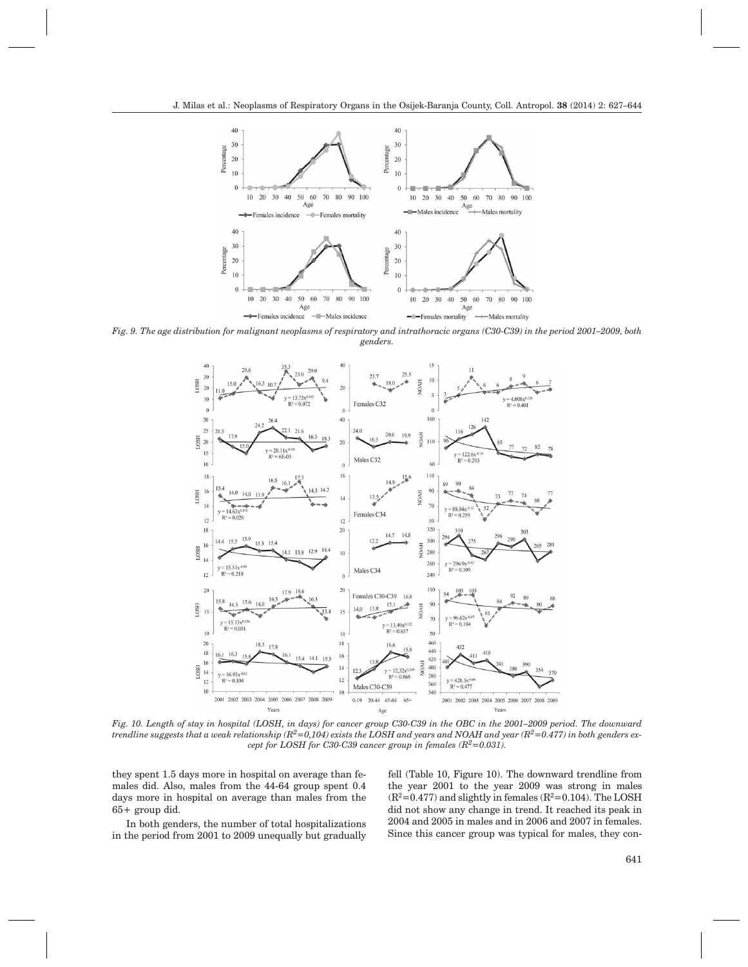

*Fig. 9. The age distribution for malignant neoplasms of respiratory and intrathoracic organs (C30-C39) in the period 2001–2009, both genders.*



*Fig. 10. Length of stay in hospital (LOSH, in days) for cancer group C30-C39 in the OBC in the 2001–2009 period. The downward trendline suggests that a weak relationship (R2=0,104) exists the LOSH and years and NOAH and year (R2=0.477) in both genders except for LOSH for C30-C39 cancer group in females (R2=0.031).*

they spent 1.5 days more in hospital on average than females did. Also, males from the 44-64 group spent 0.4 days more in hospital on average than males from the 65+ group did.

In both genders, the number of total hospitalizations in the period from 2001 to 2009 unequally but gradually fell (Table 10, Figure 10). The downward trendline from the year 2001 to the year 2009 was strong in males  $(R^2=0.477)$  and slightly in females  $(R^2=0.104)$ . The LOSH did not show any change in trend. It reached its peak in 2004 and 2005 in males and in 2006 and 2007 in females. Since this cancer group was typical for males, they con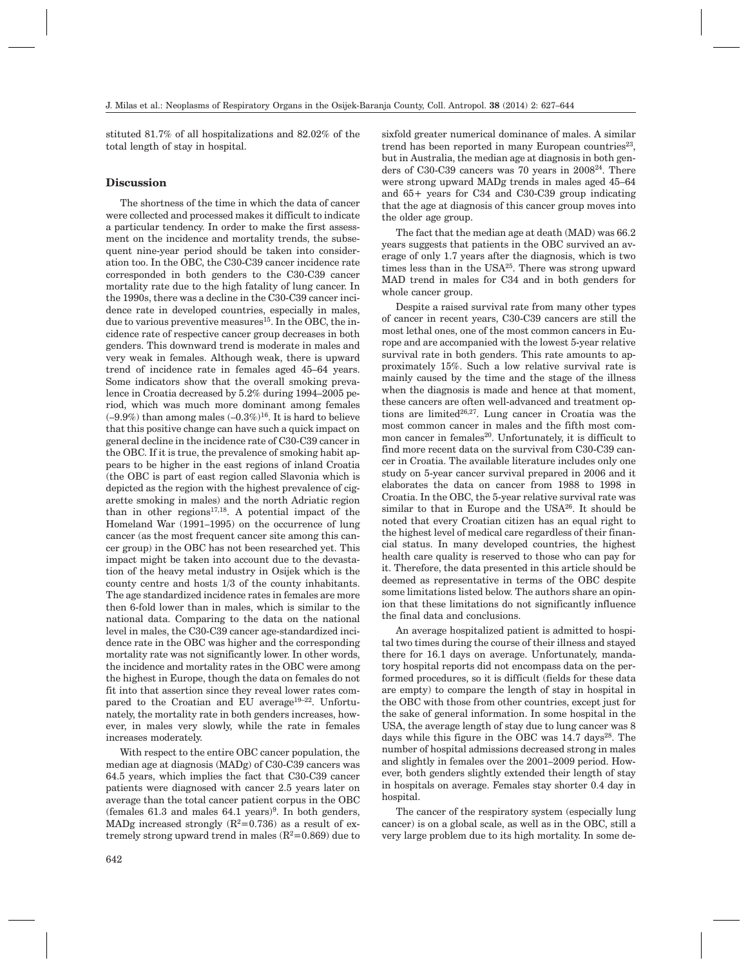stituted 81.7% of all hospitalizations and 82.02% of the total length of stay in hospital.

#### **Discussion**

The shortness of the time in which the data of cancer were collected and processed makes it difficult to indicate a particular tendency. In order to make the first assessment on the incidence and mortality trends, the subsequent nine-year period should be taken into consideration too. In the OBC, the C30-C39 cancer incidence rate corresponded in both genders to the C30-C39 cancer mortality rate due to the high fatality of lung cancer. In the 1990s, there was a decline in the C30-C39 cancer incidence rate in developed countries, especially in males, due to various preventive measures<sup>15</sup>. In the OBC, the incidence rate of respective cancer group decreases in both genders. This downward trend is moderate in males and very weak in females. Although weak, there is upward trend of incidence rate in females aged 45–64 years. Some indicators show that the overall smoking prevalence in Croatia decreased by 5.2% during 1994–2005 period, which was much more dominant among females  $(-9.9\%)$  than among males  $(-0.3\%)^{16}$ . It is hard to believe that this positive change can have such a quick impact on general decline in the incidence rate of C30-C39 cancer in the OBC. If it is true, the prevalence of smoking habit appears to be higher in the east regions of inland Croatia (the OBC is part of east region called Slavonia which is depicted as the region with the highest prevalence of cigarette smoking in males) and the north Adriatic region than in other regions<sup>17,18</sup>. A potential impact of the Homeland War (1991–1995) on the occurrence of lung cancer (as the most frequent cancer site among this cancer group) in the OBC has not been researched yet. This impact might be taken into account due to the devastation of the heavy metal industry in Osijek which is the county centre and hosts 1/3 of the county inhabitants. The age standardized incidence rates in females are more then 6-fold lower than in males, which is similar to the national data. Comparing to the data on the national level in males, the C30-C39 cancer age-standardized incidence rate in the OBC was higher and the corresponding mortality rate was not significantly lower. In other words, the incidence and mortality rates in the OBC were among the highest in Europe, though the data on females do not fit into that assertion since they reveal lower rates compared to the Croatian and EU average<sup>19-22</sup>. Unfortunately, the mortality rate in both genders increases, however, in males very slowly, while the rate in females increases moderately.

With respect to the entire OBC cancer population, the median age at diagnosis (MADg) of C30-C39 cancers was 64.5 years, which implies the fact that C30-C39 cancer patients were diagnosed with cancer 2.5 years later on average than the total cancer patient corpus in the OBC (females 61.3 and males 64.1 years)<sup>9</sup>. In both genders, MADg increased strongly  $(R^2=0.736)$  as a result of extremely strong upward trend in males  $(R^2=0.869)$  due to

sixfold greater numerical dominance of males. A similar trend has been reported in many European countries<sup>23</sup>, but in Australia, the median age at diagnosis in both genders of C30-C39 cancers was 70 years in 2008<sup>24</sup>. There were strong upward MADg trends in males aged 45–64 and 65+ years for C34 and C30-C39 group indicating that the age at diagnosis of this cancer group moves into the older age group.

The fact that the median age at death (MAD) was 66.2 years suggests that patients in the OBC survived an average of only 1.7 years after the diagnosis, which is two times less than in the USA<sup>25</sup>. There was strong upward MAD trend in males for C34 and in both genders for whole cancer group.

Despite a raised survival rate from many other types of cancer in recent years, C30-C39 cancers are still the most lethal ones, one of the most common cancers in Europe and are accompanied with the lowest 5-year relative survival rate in both genders. This rate amounts to approximately 15%. Such a low relative survival rate is mainly caused by the time and the stage of the illness when the diagnosis is made and hence at that moment, these cancers are often well-advanced and treatment options are limited<sup>26,27</sup>. Lung cancer in Croatia was the most common cancer in males and the fifth most common cancer in females<sup>20</sup>. Unfortunately, it is difficult to find more recent data on the survival from C30-C39 cancer in Croatia. The available literature includes only one study on 5-year cancer survival prepared in 2006 and it elaborates the data on cancer from 1988 to 1998 in Croatia. In the OBC, the 5-year relative survival rate was similar to that in Europe and the USA<sup>26</sup>. It should be noted that every Croatian citizen has an equal right to the highest level of medical care regardless of their financial status. In many developed countries, the highest health care quality is reserved to those who can pay for it. Therefore, the data presented in this article should be deemed as representative in terms of the OBC despite some limitations listed below. The authors share an opinion that these limitations do not significantly influence the final data and conclusions.

An average hospitalized patient is admitted to hospital two times during the course of their illness and stayed there for 16.1 days on average. Unfortunately, mandatory hospital reports did not encompass data on the performed procedures, so it is difficult (fields for these data are empty) to compare the length of stay in hospital in the OBC with those from other countries, except just for the sake of general information. In some hospital in the USA, the average length of stay due to lung cancer was 8 days while this figure in the OBC was  $14.7 \text{ days}^{28}$ . The number of hospital admissions decreased strong in males and slightly in females over the 2001–2009 period. However, both genders slightly extended their length of stay in hospitals on average. Females stay shorter 0.4 day in hospital.

The cancer of the respiratory system (especially lung cancer) is on a global scale, as well as in the OBC, still a very large problem due to its high mortality. In some de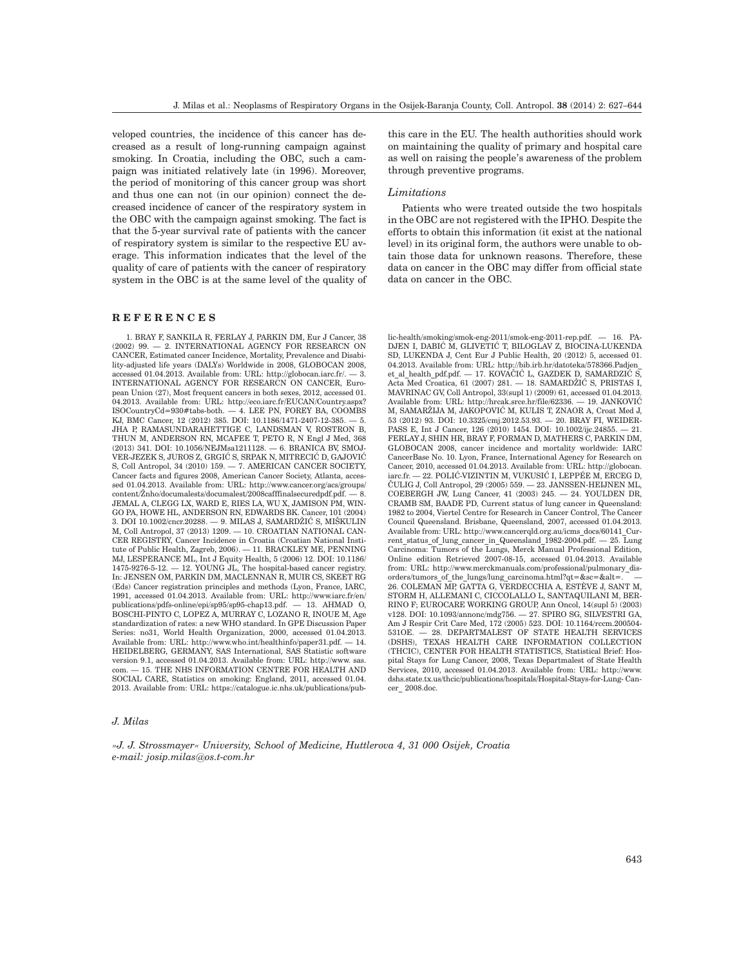veloped countries, the incidence of this cancer has decreased as a result of long-running campaign against smoking. In Croatia, including the OBC, such a campaign was initiated relatively late (in 1996). Moreover, the period of monitoring of this cancer group was short and thus one can not (in our opinion) connect the decreased incidence of cancer of the respiratory system in the OBC with the campaign against smoking. The fact is that the 5-year survival rate of patients with the cancer of respiratory system is similar to the respective EU average. This information indicates that the level of the quality of care of patients with the cancer of respiratory system in the OBC is at the same level of the quality of

#### **REFERENCES**

1. BRAY F, SANKILA R, FERLAY J, PARKIN DM, Eur J Cancer, 38 (2002) 99. — 2. INTERNATIONAL AGENCY FOR RESEARCN ON CANCER, Estimated cancer Incidence, Mortality, Prevalence and Disability-adjusted life years (DALYs) Worldwide in 2008, GLOBOCAN 2008, accessed 01.04.2013. Available from: URL: http://globocan.iarc.fr/. — 3. INTERNATIONAL AGENCY FOR RESEARCN ON CANCER, European Union (27), Most frequent cancers in both sexes, 2012, accessed 01. 04.2013. Available from: URL: http://eco.iarc.fr/EUCAN/Country.aspx? ISOCountryCd=930#tabs-both. — 4. LEE PN, FOREY BA, COOMBS KJ, BMC Cancer, 12 (2012) 385. DOI: 10.1186/1471-2407-12-385. — 5. JHA P, RAMASUNDARAHETTIGE C, LANDSMAN V, ROSTRON B, THUN M, ANDERSON RN, MCAFEE T, PETO R, N Engl J Med, 368 (2013) 341. DOI: 10.1056/NEJMsa1211128. — 6. BRANICA BV, SMOJ-VER-JEZEK S, JUROS Z, GRGIĆ S, SRPAK N, MITRECIĆ D, GAJOVIĆ S, Coll Antropol, 34 (2010) 159. — 7. AMERICAN CANCER SOCIETY, Cancer facts and figures 2008, American Cancer Society, Atlanta, accessed 01.04.2013. Available from: URL: http://www.cancer.org/acs/groups/  $controlZnho/document/2no{(quantest)}/document/2008cafffinal(1000c)$ JEMAL A, CLEGG LX, WARD E, RIES LA, WU X, JAMISON PM, WIN-GO PA, HOWE HL, ANDERSON RN, EDWARDS BK. Cancer, 101 (2004)  $3.$  DOI  $10.1002$ /cncr.20288.  $-$  9. MILAS J, SAMARDŽIĆ S, MIŠKULIN M, Coll Antropol, 37 (2013) 1209. — 10. CROATIAN NATIONAL CAN-CER REGISTRY, Cancer Incidence in Croatia (Croatian National Institute of Public Health, Zagreb, 2006). — 11. BRACKLEY ME, PENNING MJ, LESPERANCE ML, Int J Equity Health, 5 (2006) 12. DOI: 10.1186/ 1475-9276-5-12. — 12. YOUNG JL, The hospital-based cancer registry. In: JENSEN OM, PARKIN DM, MACLENNAN R, MUIR CS, SKEET RG (Eds) Cancer registration principles and methods (Lyon, France, IARC, 1991, accessed 01.04.2013. Available from: URL: http://www.iarc.fr/en/ publications/pdfs-online/epi/sp95/sp95-chap13.pdf. — 13. AHMAD O, BOSCHI-PINTO C, LOPEZ A, MURRAY C, LOZANO R, INOUE M, Age standardization of rates: a new WHO standard. In GPE Discussion Paper Series: no31, World Health Organization, 2000, accessed 01.04.2013. Available from: URL: http://www.who.int/healthinfo/paper31.pdf. — 14. HEIDELBERG, GERMANY, SAS International, SAS Statistic software version 9.1, accessed 01.04.2013. Available from: URL: http://www. sas. com. — 15. THE NHS INFORMATION CENTRE FOR HEALTH AND SOCIAL CARE, Statistics on smoking: England, 2011, accessed 01.04. 2013. Available from: URL: https://catalogue.ic.nhs.uk/publications/pubthis care in the EU. The health authorities should work on maintaining the quality of primary and hospital care as well on raising the people's awareness of the problem through preventive programs.

### *Limitations*

Patients who were treated outside the two hospitals in the OBC are not registered with the IPHO. Despite the efforts to obtain this information (it exist at the national level) in its original form, the authors were unable to obtain those data for unknown reasons. Therefore, these data on cancer in the OBC may differ from official state data on cancer in the OBC.

lic-health/smoking/smok-eng-2011/smok-eng-2011-rep.pdf. — 16. PA-DJEN I, DABIĆ M, GLIVETIĆ T, BILOGLAV Z, BIOCINA-LUKENDA SD, LUKENDA J, Cent Eur J Public Health, 20 (2012) 5, accessed 01. 04.2013. Available from: URL: http://bib.irb.hr/datoteka/578366.Padjen\_ et\_al\_health\_pdf.pdf. — 17. KOVAČIĆ L, GAZDEK D, SAMARDZIĆ S, Acta Med Croatica, 61 (2007) 281. - 18. SAMARDŽIĆ S, PRISTAS I, MAVRINAC GV, Coll Antropol, 33(supl 1) (2009) 61, accessed 01.04.2013. Available from: URL: http://hrcak.srce.hr/file/62336. - 19. JANKOVIĆ M, SAMARŽIJA M, JAKOPOVIĆ M, KULIS T, ZNAOR A, Croat Med J, 53 (2012) 93. DOI: 10.3325/cmj.2012.53.93. — 20. BRAY FI, WEIDER-PASS E, Int J Cancer, 126 (2010) 1454. DOI: 10.1002/ijc.24855. — 21. FERLAY J, SHIN HR, BRAY F, FORMAN D, MATHERS C, PARKIN DM, GLOBOCAN 2008, cancer incidence and mortality worldwide: IARC CancerBase No. 10. Lyon, France, International Agency for Research on Cancer, 2010, accessed 01.04.2013. Available from: URL: http://globocan. iarc.fr. - 22. POLIĆ-VIZINTIN M, VUKUSIĆ I, LEPPÉE M, ERCEG D, ^ULIG J, Coll Antropol, 29 (2005) 559. — 23. JANSSEN-HEIJNEN ML, COEBERGH JW, Lung Cancer, 41 (2003) 245. — 24. YOULDEN DR, CRAMB SM, BAADE PD, Current status of lung cancer in Queensland: 1982 to 2004, Viertel Centre for Research in Cancer Control, The Cancer Council Queensland. Brisbane, Queensland, 2007, accessed 01.04.2013. Available from: URL: http://www.cancerqld.org.au/icms\_docs/60141\_Current status of lung cancer in Queensland  $1982-2004$ .pdf.  $- 25$ . Lung Carcinoma: Tumors of the Lungs, Merck Manual Professional Edition, Online edition Retrieved 2007-08-15, accessed 01.04.2013. Available from: URL: http://www.merckmanuals.com/professional/pulmonary\_disorders/tumors\_of\_the\_lungs/lung\_carcinoma.html?qt=&sc=&alt=. — 26. COLEMAN MP, GATTA G, VERDECCHIA A, ESTÈVE J, SANT M, STORM H, ALLEMANI C, CICCOLALLO L, SANTAQUILANI M, BER-RINO F; EUROCARE WORKING GROUP, Ann Oncol, 14(supl 5) (2003) v128. DOI: 10.1093/annonc/mdg756. — 27. SPIRO SG, SILVESTRI GA, Am J Respir Crit Care Med, 172 (2005) 523. DOI: 10.1164/rccm.200504- 531OE. — 28. DEPARTMALEST OF STATE HEALTH SERVICES (DSHS), TEXAS HEALTH CARE INFORMATION COLLECTION (THCIC), CENTER FOR HEALTH STATISTICS, Statistical Brief: Hospital Stays for Lung Cancer, 2008, Texas Departmalest of State Health Services, 2010, accessed 01.04.2013. Available from: URL: http://www. dshs.state.tx.us/thcic/publications/hospitals/Hospital-Stays-for-Lung- Cancer\_ 2008.doc.

#### *J. Milas*

*»J. J. Strossmayer« University, School of Medicine, Huttlerova 4, 31 000 Osijek, Croatia e-mail: josip.milas@os.t-com.hr*